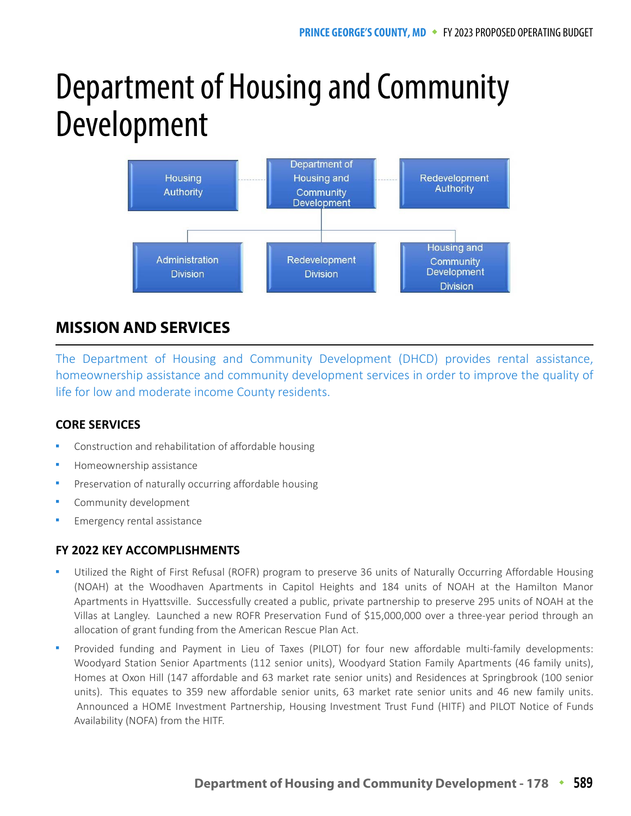# Department of Housing and Community Development



# **MISSION AND SERVICES**

The Department of Housing and Community Development (DHCD) provides rental assistance, homeownership assistance and community development services in order to improve the quality of life for low and moderate income County residents.

## **CORE SERVICES**

- Construction and rehabilitation of affordable housing
- Homeownership assistance
- Preservation of naturally occurring affordable housing
- Community development
- Emergency rental assistance

## **FY 2022 KEY ACCOMPLISHMENTS**

- Utilized the Right of First Refusal (ROFR) program to preserve 36 units of Naturally Occurring Affordable Housing (NOAH) at the Woodhaven Apartments in Capitol Heights and 184 units of NOAH at the Hamilton Manor Apartments in Hyattsville. Successfully created a public, private partnership to preserve 295 units of NOAH at the Villas at Langley. Launched a new ROFR Preservation Fund of \$15,000,000 over a three-year period through an allocation of grant funding from the American Rescue Plan Act.
- Provided funding and Payment in Lieu of Taxes (PILOT) for four new affordable multi-family developments: Woodyard Station Senior Apartments (112 senior units), Woodyard Station Family Apartments (46 family units), Homes at Oxon Hill (147 affordable and 63 market rate senior units) and Residences at Springbrook (100 senior units). This equates to 359 new affordable senior units, 63 market rate senior units and 46 new family units. Announced a HOME Investment Partnership, Housing Investment Trust Fund (HITF) and PILOT Notice of Funds Availability (NOFA) from the HITF.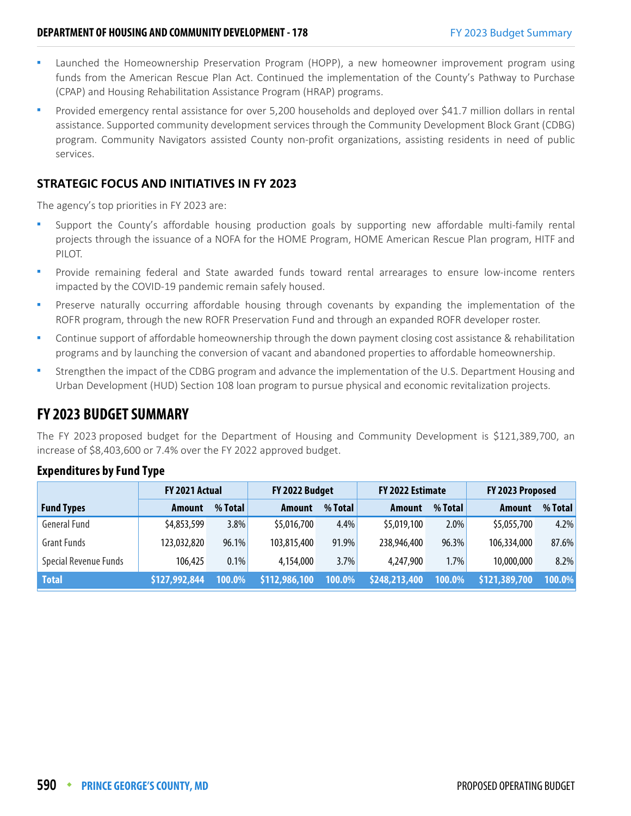- Launched the Homeownership Preservation Program (HOPP), a new homeowner improvement program using funds from the American Rescue Plan Act. Continued the implementation of the County's Pathway to Purchase (CPAP) and Housing Rehabilitation Assistance Program (HRAP) programs.
- Provided emergency rental assistance for over 5,200 households and deployed over \$41.7 million dollars in rental assistance. Supported community development services through the Community Development Block Grant (CDBG) program. Community Navigators assisted County non-profit organizations, assisting residents in need of public services.

## **STRATEGIC FOCUS AND INITIATIVES IN FY 2023**

The agency's top priorities in FY 2023 are:

- Support the County's affordable housing production goals by supporting new affordable multi-family rental projects through the issuance of a NOFA for the HOME Program, HOME American Rescue Plan program, HITF and PILOT.
- Provide remaining federal and State awarded funds toward rental arrearages to ensure low-income renters impacted by the COVID-19 pandemic remain safely housed.
- Preserve naturally occurring affordable housing through covenants by expanding the implementation of the ROFR program, through the new ROFR Preservation Fund and through an expanded ROFR developer roster.
- Continue support of affordable homeownership through the down payment closing cost assistance & rehabilitation programs and by launching the conversion of vacant and abandoned properties to affordable homeownership.
- Strengthen the impact of the CDBG program and advance the implementation of the U.S. Department Housing and Urban Development (HUD) Section 108 loan program to pursue physical and economic revitalization projects.

## **FY 2023 BUDGET SUMMARY**

The FY 2023 proposed budget for the Department of Housing and Community Development is \$121,389,700, an increase of \$8,403,600 or 7.4% over the FY 2022 approved budget.

|                              | FY 2021 Actual |         | FY 2022 Budget |         | <b>FY 2022 Estimate</b> |         | FY 2023 Proposed |         |
|------------------------------|----------------|---------|----------------|---------|-------------------------|---------|------------------|---------|
| <b>Fund Types</b>            | Amount         | % Total | <b>Amount</b>  | % Total | <b>Amount</b>           | % Total | Amount           | % Total |
| <b>General Fund</b>          | \$4,853,599    | 3.8%    | \$5,016,700    | 4.4%    | \$5,019,100             | 2.0%    | \$5,055,700      | 4.2%    |
| <b>Grant Funds</b>           | 123,032,820    | 96.1%   | 103,815,400    | 91.9%   | 238,946,400             | 96.3%   | 106,334,000      | 87.6%   |
| <b>Special Revenue Funds</b> | 106,425        | $0.1\%$ | 4,154,000      | 3.7%    | 4,247,900               | 1.7%    | 10,000,000       | 8.2%    |
| <b>Total</b>                 | \$127,992,844  | 100.0%  | \$112,986,100  | 100.0%  | \$248,213,400           | 100.0%  | \$121,389,700    | 100.0%  |

## **Expenditures by Fund Type**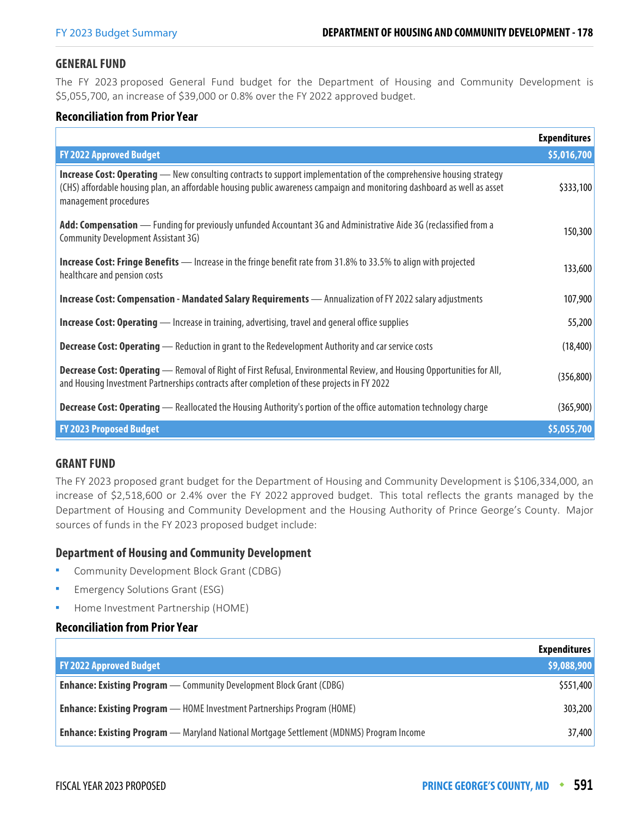#### **GENERAL FUND**

The FY 2023 proposed General Fund budget for the Department of Housing and Community Development is \$5,055,700, an increase of \$39,000 or 0.8% over the FY 2022 approved budget.

## **Reconciliation from Prior Year**

|                                                                                                                                                                                                                                                                                 | <b>Expenditures</b> |
|---------------------------------------------------------------------------------------------------------------------------------------------------------------------------------------------------------------------------------------------------------------------------------|---------------------|
| <b>FY 2022 Approved Budget</b>                                                                                                                                                                                                                                                  | \$5,016,700         |
| <b>Increase Cost: Operating</b> — New consulting contracts to support implementation of the comprehensive housing strategy<br>(CHS) affordable housing plan, an affordable housing public awareness campaign and monitoring dashboard as well as asset<br>management procedures | \$333,100           |
| Add: Compensation - Funding for previously unfunded Accountant 3G and Administrative Aide 3G (reclassified from a<br>Community Development Assistant 3G)                                                                                                                        | 150,300             |
| <b>Increase Cost: Fringe Benefits</b> — Increase in the fringe benefit rate from 31.8% to 33.5% to align with projected<br>healthcare and pension costs                                                                                                                         | 133,600             |
| Increase Cost: Compensation - Mandated Salary Requirements - Annualization of FY 2022 salary adjustments                                                                                                                                                                        | 107,900             |
| Increase Cost: Operating - Increase in training, advertising, travel and general office supplies                                                                                                                                                                                | 55,200              |
| <b>Decrease Cost: Operating</b> — Reduction in grant to the Redevelopment Authority and car service costs                                                                                                                                                                       | (18, 400)           |
| <b>Decrease Cost: Operating</b> — Removal of Right of First Refusal, Environmental Review, and Housing Opportunities for All,<br>and Housing Investment Partnerships contracts after completion of these projects in FY 2022                                                    | (356, 800)          |
| <b>Decrease Cost: Operating</b> — Reallocated the Housing Authority's portion of the office automation technology charge                                                                                                                                                        | (365,900)           |
| <b>FY 2023 Proposed Budget</b>                                                                                                                                                                                                                                                  | \$5,055,700         |

## **GRANT FUND**

The FY 2023 proposed grant budget for the Department of Housing and Community Development is \$106,334,000, an increase of \$2,518,600 or 2.4% over the FY 2022 approved budget. This total reflects the grants managed by the Department of Housing and Community Development and the Housing Authority of Prince George's County. Major sources of funds in the FY 2023 proposed budget include:

#### **Department of Housing and Community Development**

- Community Development Block Grant (CDBG)
- Emergency Solutions Grant (ESG)
- Home Investment Partnership (HOME)

#### **Reconciliation from Prior Year**

|                                                                                                 | <b>Expenditures</b> |
|-------------------------------------------------------------------------------------------------|---------------------|
| <b>FY 2022 Approved Budget</b>                                                                  | \$9,088,900         |
| <b>Enhance: Existing Program</b> — Community Development Block Grant (CDBG)                     | \$551,400           |
| <b>Enhance: Existing Program</b> — HOME Investment Partnerships Program (HOME)                  | 303,200             |
| <b>Enhance: Existing Program</b> — Maryland National Mortgage Settlement (MDNMS) Program Income | 37,400              |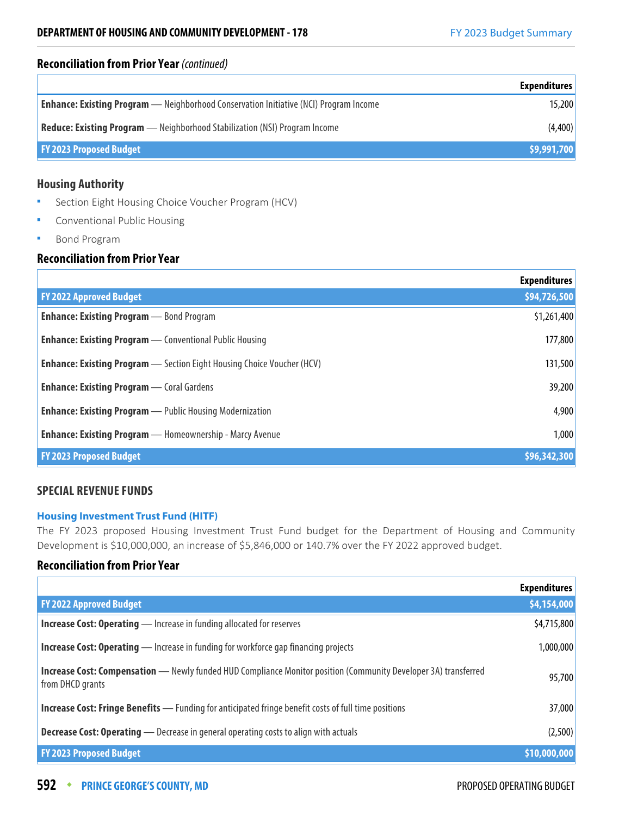#### **Reconciliation from Prior Year** (continued)

|                                                                                              | <b>Expenditures</b> |
|----------------------------------------------------------------------------------------------|---------------------|
| <b>Enhance: Existing Program</b> — Neighborhood Conservation Initiative (NCI) Program Income | 15,200              |
| <b>Reduce: Existing Program</b> — Neighborhood Stabilization (NSI) Program Income            | (4,400)             |
| <b>FY 2023 Proposed Budget</b>                                                               | \$9,991,700         |

## **Housing Authority**

- **Section Eight Housing Choice Voucher Program (HCV)**
- Conventional Public Housing
- **Bond Program**

## **Reconciliation from Prior Year**

|                                                                               | <b>Expenditures</b> |
|-------------------------------------------------------------------------------|---------------------|
| <b>FY 2022 Approved Budget</b>                                                | \$94,726,500        |
| <b>Enhance: Existing Program</b> - Bond Program                               | \$1,261,400         |
| <b>Enhance: Existing Program</b> — Conventional Public Housing                | 177,800             |
| <b>Enhance: Existing Program</b> - Section Eight Housing Choice Voucher (HCV) | 131,500             |
| <b>Enhance: Existing Program</b> — Coral Gardens                              | 39,200              |
| <b>Enhance: Existing Program</b> — Public Housing Modernization               | 4,900               |
| <b>Enhance: Existing Program</b> — Homeownership - Marcy Avenue               | 1,000               |
| <b>FY 2023 Proposed Budget</b>                                                | \$96,342,300        |

## **SPECIAL REVENUE FUNDS**

#### **Housing Investment Trust Fund (HITF)**

The FY 2023 proposed Housing Investment Trust Fund budget for the Department of Housing and Community Development is \$10,000,000, an increase of \$5,846,000 or 140.7% over the FY 2022 approved budget.

## **Reconciliation from Prior Year**

|                                                                                                                                            | <b>Expenditures</b> |
|--------------------------------------------------------------------------------------------------------------------------------------------|---------------------|
| <b>FY 2022 Approved Budget</b>                                                                                                             | \$4,154,000         |
| <b>Increase Cost: Operating</b> - Increase in funding allocated for reserves                                                               | \$4,715,800         |
| <b>Increase Cost: Operating</b> — Increase in funding for workforce gap financing projects                                                 | 1,000,000           |
| <b>Increase Cost: Compensation</b> - Newly funded HUD Compliance Monitor position (Community Developer 3A) transferred<br>from DHCD grants | 95,700              |
| <b>Increase Cost: Fringe Benefits</b> — Funding for anticipated fringe benefit costs of full time positions                                | 37,000              |
| <b>Decrease Cost: Operating</b> — Decrease in general operating costs to align with actuals                                                | (2,500)             |
| <b>FY 2023 Proposed Budget</b>                                                                                                             | \$10,000,000        |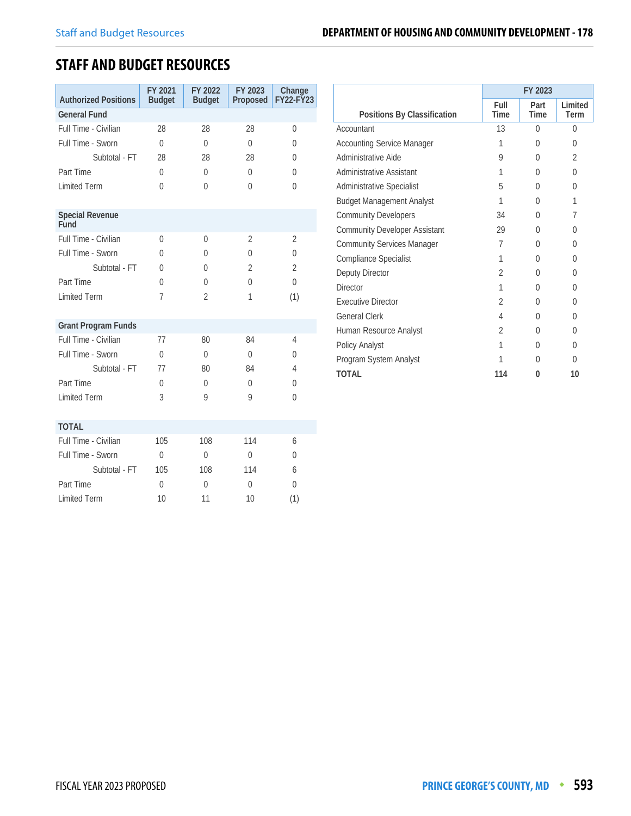# **STAFF AND BUDGET RESOURCES**

| <b>Authorized Positions</b>    | FY 2021<br><b>Budget</b> | FY 2022<br><b>Budget</b> | FY 2023<br>Proposed | Change<br><b>FY22-FY23</b> |
|--------------------------------|--------------------------|--------------------------|---------------------|----------------------------|
| <b>General Fund</b>            |                          |                          |                     |                            |
| Full Time - Civilian           | 28                       | 28                       | 28                  | 0                          |
| Full Time - Sworn              | $\theta$                 | $\Omega$                 | $\theta$            | $\Omega$                   |
| Subtotal - FT                  | 28                       | 28                       | 28                  | 0                          |
| Part Time                      | $\theta$                 | $\theta$                 | $\theta$            | 0                          |
| <b>Limited Term</b>            | $\theta$                 | $\Omega$                 | 0                   | $\Omega$                   |
| <b>Special Revenue</b><br>Fund |                          |                          |                     |                            |
| Full Time - Civilian           | $\theta$                 | $\Omega$                 | $\overline{2}$      | $\overline{2}$             |
| Full Time - Sworn              | $\Omega$                 | 0                        | $\Omega$            | $\theta$                   |
| Subtotal - FT                  | $\theta$                 | 0                        | $\overline{2}$      | $\overline{2}$             |
| Part Time                      | $\theta$                 | $\Omega$                 | 0                   | $\Omega$                   |
| <b>Limited Term</b>            | 7                        | $\overline{2}$           | 1                   | (1)                        |
| <b>Grant Program Funds</b>     |                          |                          |                     |                            |
| Full Time - Civilian           | 77                       | 80                       | 84                  | $\overline{4}$             |
| Full Time - Sworn              | $\Omega$                 | $\theta$                 | $\theta$            | 0                          |
| Subtotal - FT                  | 77                       | 80                       | 84                  | 4                          |
| Part Time                      | $\theta$                 | $\Omega$                 | $\Omega$            | 0                          |
| <b>Limited Term</b>            | 3                        | 9                        | 9                   | 0                          |
| <b>TOTAL</b>                   |                          |                          |                     |                            |
| Full Time - Civilian           | 105                      | 108                      | 114                 | 6                          |
| Full Time - Sworn              | $\Omega$                 | $\theta$                 | 0                   | 0                          |
| Subtotal - FT                  | 105                      | 108                      | 114                 | 6                          |
| Part Time                      | $\Omega$                 | $\theta$                 | 0                   | 0                          |
| <b>Limited Term</b>            | 10                       | 11                       | 10                  | (1)                        |

|                                      | FY 2023        |              |                 |  |  |
|--------------------------------------|----------------|--------------|-----------------|--|--|
| Positions By Classification          | Full<br>Time   | Part<br>Time | Limited<br>Term |  |  |
| Accountant                           | 13             | $\bigcap$    | 0               |  |  |
| <b>Accounting Service Manager</b>    | 1              | 0            | 0               |  |  |
| Administrative Aide                  | 9              | U            | 2               |  |  |
| Administrative Assistant             | 1              | O            | 0               |  |  |
| Administrative Specialist            | 5              | O            | $\Omega$        |  |  |
| <b>Budget Management Analyst</b>     | 1              | U            | 1               |  |  |
| <b>Community Developers</b>          | 34             | 0            | 7               |  |  |
| <b>Community Developer Assistant</b> | 29             | U            | 0               |  |  |
| <b>Community Services Manager</b>    | 7              | N            | 0               |  |  |
| Compliance Specialist                | 1              | N            | U               |  |  |
| Deputy Director                      | $\overline{2}$ | U            | $\theta$        |  |  |
| <b>Director</b>                      | 1              | U            | 0               |  |  |
| <b>Executive Director</b>            | $\mathfrak{D}$ | N            | 0               |  |  |
| <b>General Clerk</b>                 | 4              | U            | O               |  |  |
| Human Resource Analyst               | $\mathfrak{D}$ | 0            | 0               |  |  |
| Policy Analyst                       | 1              | 0            | $\Omega$        |  |  |
| Program System Analyst               | 1              | N            | 0               |  |  |
| <b>TOTAL</b>                         | 114            | 0            | 10              |  |  |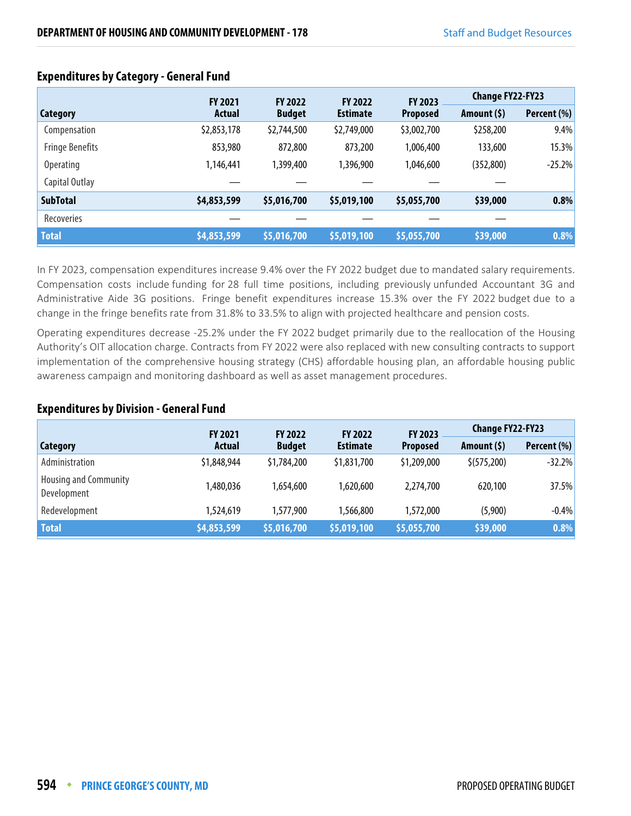|                        | <b>FY 2021</b> | <b>FY 2022</b> | <b>FY 2022</b>  | <b>FY 2023</b>  | <b>Change FY22-FY23</b> |             |
|------------------------|----------------|----------------|-----------------|-----------------|-------------------------|-------------|
| Category               | Actual         | <b>Budget</b>  | <b>Estimate</b> | <b>Proposed</b> | Amount $(5)$            | Percent (%) |
| Compensation           | \$2,853,178    | \$2,744,500    | \$2,749,000     | \$3,002,700     | \$258,200               | 9.4%        |
| <b>Fringe Benefits</b> | 853,980        | 872,800        | 873,200         | 1,006,400       | 133,600                 | 15.3%       |
| <b>Operating</b>       | 1,146,441      | 1,399,400      | 1,396,900       | 1,046,600       | (352, 800)              | $-25.2%$    |
| Capital Outlay         |                |                |                 |                 |                         |             |
| <b>SubTotal</b>        | \$4,853,599    | \$5,016,700    | \$5,019,100     | \$5,055,700     | \$39,000                | 0.8%        |
| <b>Recoveries</b>      |                |                |                 |                 |                         |             |
| <b>Total</b>           | \$4,853,599    | \$5,016,700    | \$5,019,100     | \$5,055,700     | \$39,000                | 0.8%        |

## **Expenditures by Category - General Fund**

In FY 2023, compensation expenditures increase 9.4% over the FY 2022 budget due to mandated salary requirements. Compensation costs include funding for 28 full time positions, including previously unfunded Accountant 3G and Administrative Aide 3G positions. Fringe benefit expenditures increase 15.3% over the FY 2022 budget due to a change in the fringe benefits rate from 31.8% to 33.5% to align with projected healthcare and pension costs.

Operating expenditures decrease -25.2% under the FY 2022 budget primarily due to the reallocation of the Housing Authority's OIT allocation charge. Contracts from FY 2022 were also replaced with new consulting contracts to support implementation of the comprehensive housing strategy (CHS) affordable housing plan, an affordable housing public awareness campaign and monitoring dashboard as well as asset management procedures.

#### **Expenditures by Division - General Fund**

|                                             | <b>FY 2021</b> | <b>FY 2022</b> | <b>FY 2022</b>            | FY 2023         | <b>Change FY22-FY23</b> |             |
|---------------------------------------------|----------------|----------------|---------------------------|-----------------|-------------------------|-------------|
| Category                                    | <b>Actual</b>  | <b>Budget</b>  | <b>Estimate</b>           | <b>Proposed</b> | Amount $(5)$            | Percent (%) |
| Administration                              | \$1,848,944    | \$1,784,200    | \$1,831,700               | \$1,209,000     | \$(575,200)             | $-32.2%$    |
| <b>Housing and Community</b><br>Development | 1,480,036      | 1,654,600      | 1,620,600                 | 2,274,700       | 620,100                 | 37.5%       |
| Redevelopment                               | 1,524,619      | 1,577,900      | 1,566,800                 | 1,572,000       | (5,900)                 | $-0.4%$     |
| <b>Total</b>                                | \$4,853,599    | \$5,016,700    | $\frac{1}{2}$ \$5,019,100 | \$5,055,700     | \$39,000                | 0.8%        |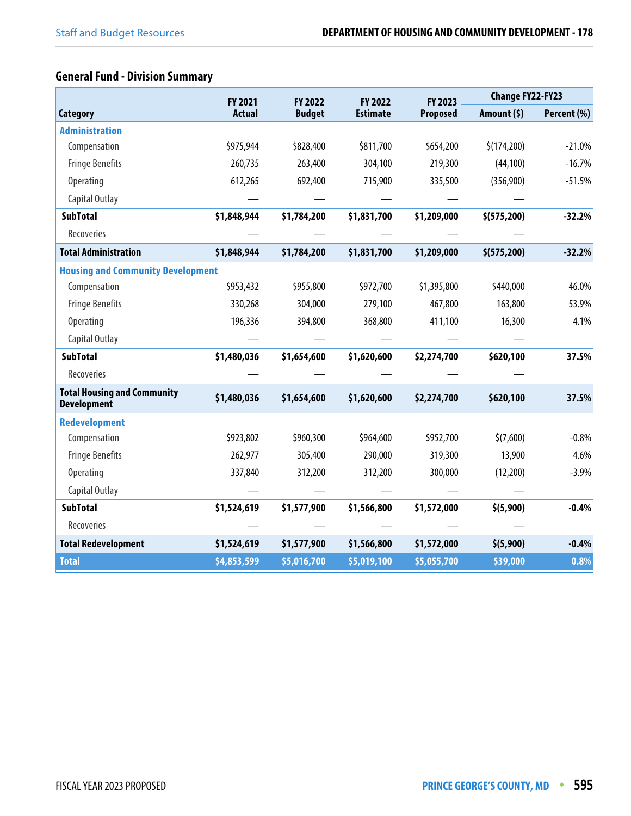## **General Fund - Division Summary**

|                                                          | <b>FY 2021</b> | FY 2022<br><b>FY 2022</b> |                 | FY 2023         | <b>Change FY22-FY23</b> |             |
|----------------------------------------------------------|----------------|---------------------------|-----------------|-----------------|-------------------------|-------------|
| <b>Category</b>                                          | <b>Actual</b>  | <b>Budget</b>             | <b>Estimate</b> | <b>Proposed</b> | Amount $(5)$            | Percent (%) |
| <b>Administration</b>                                    |                |                           |                 |                 |                         |             |
| Compensation                                             | \$975,944      | \$828,400                 | \$811,700       | \$654,200       | \$(174,200)             | $-21.0%$    |
| <b>Fringe Benefits</b>                                   | 260,735        | 263,400                   | 304,100         | 219,300         | (44, 100)               | $-16.7%$    |
| <b>Operating</b>                                         | 612,265        | 692,400                   | 715,900         | 335,500         | (356,900)               | $-51.5%$    |
| Capital Outlay                                           |                |                           |                 |                 |                         |             |
| <b>SubTotal</b>                                          | \$1,848,944    | \$1,784,200               | \$1,831,700     | \$1,209,000     | \$ (575, 200)           | $-32.2%$    |
| Recoveries                                               |                |                           |                 |                 |                         |             |
| <b>Total Administration</b>                              | \$1,848,944    | \$1,784,200               | \$1,831,700     | \$1,209,000     | \$ (575, 200)           | $-32.2%$    |
| <b>Housing and Community Development</b>                 |                |                           |                 |                 |                         |             |
| Compensation                                             | \$953,432      | \$955,800                 | \$972,700       | \$1,395,800     | \$440,000               | 46.0%       |
| <b>Fringe Benefits</b>                                   | 330,268        | 304,000                   | 279,100         | 467,800         | 163,800                 | 53.9%       |
| <b>Operating</b>                                         | 196,336        | 394,800                   | 368,800         | 411,100         | 16,300                  | 4.1%        |
| Capital Outlay                                           |                |                           |                 |                 |                         |             |
| <b>SubTotal</b>                                          | \$1,480,036    | \$1,654,600               | \$1,620,600     | \$2,274,700     | \$620,100               | 37.5%       |
| Recoveries                                               |                |                           |                 |                 |                         |             |
| <b>Total Housing and Community</b><br><b>Development</b> | \$1,480,036    | \$1,654,600               | \$1,620,600     | \$2,274,700     | \$620,100               | 37.5%       |
| Redevelopment                                            |                |                           |                 |                 |                         |             |
| Compensation                                             | \$923,802      | \$960,300                 | \$964,600       | \$952,700       | \$(7,600)               | $-0.8%$     |
| <b>Fringe Benefits</b>                                   | 262,977        | 305,400                   | 290,000         | 319,300         | 13,900                  | 4.6%        |
| <b>Operating</b>                                         | 337,840        | 312,200                   | 312,200         | 300,000         | (12,200)                | $-3.9%$     |
| Capital Outlay                                           |                |                           |                 |                 |                         |             |
| <b>SubTotal</b>                                          | \$1,524,619    | \$1,577,900               | \$1,566,800     | \$1,572,000     | \$(5,900)               | $-0.4%$     |
| Recoveries                                               |                |                           |                 |                 |                         |             |
| <b>Total Redevelopment</b>                               | \$1,524,619    | \$1,577,900               | \$1,566,800     | \$1,572,000     | \$ (5,900)              | $-0.4%$     |
| <b>Total</b>                                             | \$4,853,599    | \$5,016,700               | \$5,019,100     | \$5,055,700     | \$39,000                | 0.8%        |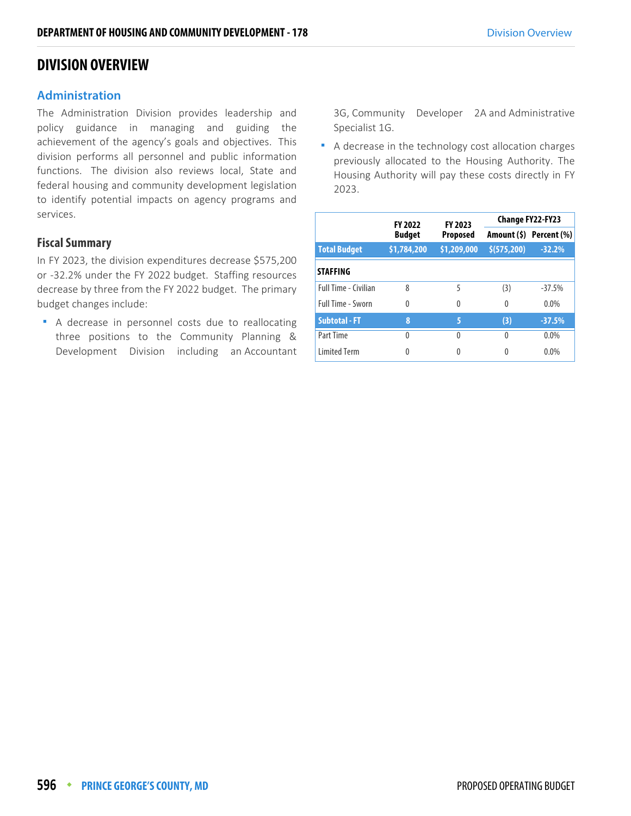## **DIVISION OVERVIEW**

## **Administration**

The Administration Division provides leadership and policy guidance in managing and guiding the achievement of the agency's goals and objectives. This division performs all personnel and public information functions. The division also reviews local, State and federal housing and community development legislation to identify potential impacts on agency programs and services.

## **Fiscal Summary**

In FY 2023, the division expenditures decrease \$575,200 or -32.2% under the FY 2022 budget. Staffing resources decrease by three from the FY 2022 budget. The primary budget changes include:

 A decrease in personnel costs due to reallocating three positions to the Community Planning & Development Division including an Accountant

3G, Community Developer 2A and Administrative Specialist 1G.

 A decrease in the technology cost allocation charges previously allocated to the Housing Authority. The Housing Authority will pay these costs directly in FY 2023.

|                             | <b>FY 2022</b> | FY 2023         | <b>Change FY22-FY23</b> |                         |  |  |
|-----------------------------|----------------|-----------------|-------------------------|-------------------------|--|--|
|                             | <b>Budget</b>  | <b>Proposed</b> |                         | Amount (\$) Percent (%) |  |  |
| <b>Total Budget</b>         | \$1,784,200    | \$1,209,000     | \$(575,200)             | $-32.2%$                |  |  |
| <b>STAFFING</b>             |                |                 |                         |                         |  |  |
| <b>Full Time - Civilian</b> | 8              | 5               | (3)                     | $-37.5%$                |  |  |
| Full Time - Sworn           | $\theta$       | 0               | $\Omega$                | $0.0\%$                 |  |  |
| <b>Subtotal - FT</b>        | 8              | 5               | (3)                     | $-37.5%$                |  |  |
| Part Time                   | 0              | Λ               | 0                       | 0.0%                    |  |  |
| <b>Limited Term</b>         | Λ              |                 | 0                       | 0.0%                    |  |  |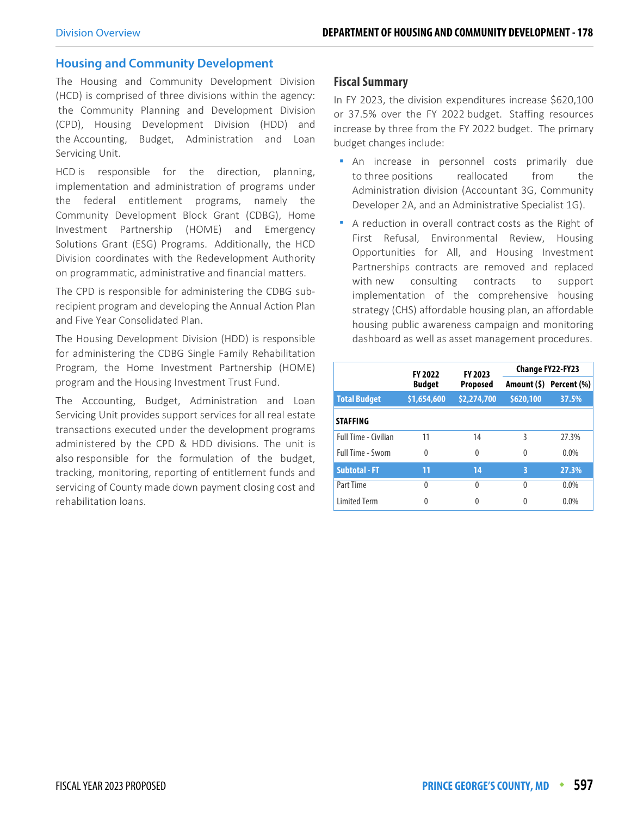#### **Housing and Community Development**

The Housing and Community Development Division (HCD) is comprised of three divisions within the agency: the Community Planning and Development Division (CPD), Housing Development Division (HDD) and the Accounting, Budget, Administration and Loan Servicing Unit.

HCD is responsible for the direction, planning, implementation and administration of programs under the federal entitlement programs, namely the Community Development Block Grant (CDBG), Home Investment Partnership (HOME) and Emergency Solutions Grant (ESG) Programs. Additionally, the HCD Division coordinates with the Redevelopment Authority on programmatic, administrative and financial matters.

The CPD is responsible for administering the CDBG subrecipient program and developing the Annual Action Plan and Five Year Consolidated Plan.

The Housing Development Division (HDD) is responsible for administering the CDBG Single Family Rehabilitation Program, the Home Investment Partnership (HOME) program and the Housing Investment Trust Fund.

The Accounting, Budget, Administration and Loan Servicing Unit provides support services for all real estate transactions executed under the development programs administered by the CPD & HDD divisions. The unit is also responsible for the formulation of the budget, tracking, monitoring, reporting of entitlement funds and servicing of County made down payment closing cost and rehabilitation loans.

#### **Fiscal Summary**

In FY 2023, the division expenditures increase \$620,100 or 37.5% over the FY 2022 budget. Staffing resources increase by three from the FY 2022 budget. The primary budget changes include:

- An increase in personnel costs primarily due to three positions reallocated from the Administration division (Accountant 3G, Community Developer 2A, and an Administrative Specialist 1G).
- A reduction in overall contract costs as the Right of First Refusal, Environmental Review, Housing Opportunities for All, and Housing Investment Partnerships contracts are removed and replaced with new consulting contracts to support implementation of the comprehensive housing strategy (CHS) affordable housing plan, an affordable housing public awareness campaign and monitoring dashboard as well as asset management procedures.

|                      | <b>FY 2022</b> | FY 2023         |           | Change FY22-FY23        |
|----------------------|----------------|-----------------|-----------|-------------------------|
|                      | <b>Budget</b>  | <b>Proposed</b> |           | Amount (\$) Percent (%) |
| <b>Total Budget</b>  | \$1,654,600    | \$2,274,700     | \$620,100 | 37.5%                   |
| <b>STAFFING</b>      |                |                 |           |                         |
| Full Time - Civilian | 11             | 14              | 3         | 27.3%                   |
| Full Time - Sworn    | $\Omega$       | 0               | 0         | $0.0\%$                 |
| <b>Subtotal - FT</b> | 11             | 14              | 3         | 27.3%                   |
| Part Time            | 0              | 0               | $\Omega$  | 0.0%                    |
| <b>Limited Term</b>  | 0              |                 | 0         | 0.0%                    |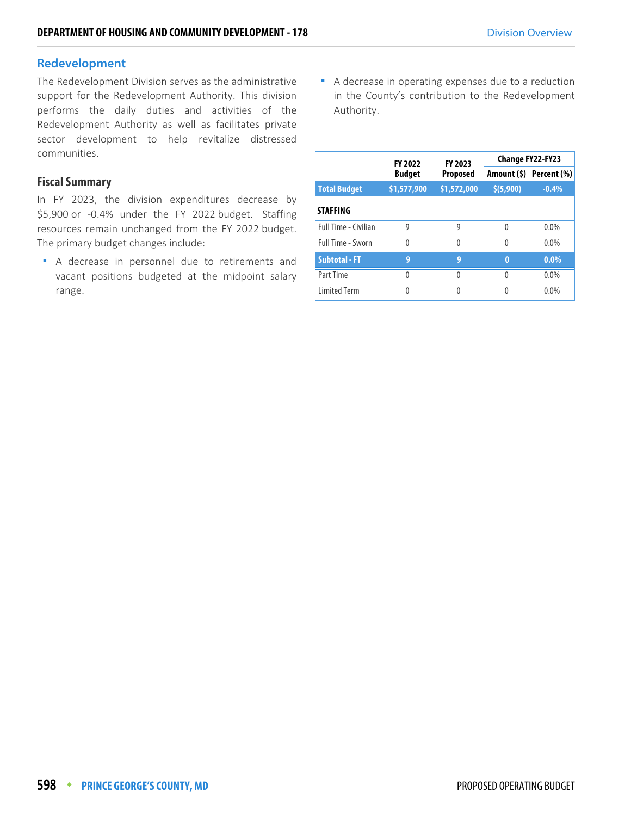## **Redevelopment**

The Redevelopment Division serves as the administrative support for the Redevelopment Authority. This division performs the daily duties and activities of the Redevelopment Authority as well as facilitates private sector development to help revitalize distressed communities.

#### **Fiscal Summary**

In FY 2023, the division expenditures decrease by \$5,900 or -0.4% under the FY 2022 budget. Staffing resources remain unchanged from the FY 2022 budget. The primary budget changes include:

A decrease in personnel due to retirements and vacant positions budgeted at the midpoint salary range.

 A decrease in operating expenses due to a reduction in the County's contribution to the Redevelopment Authority.

|                      | <b>FY 2022</b> | FY 2023     |            | <b>Change FY22-FY23</b> |
|----------------------|----------------|-------------|------------|-------------------------|
|                      | <b>Budget</b>  | Proposed    |            | Amount (\$) Percent (%) |
| <b>Total Budget</b>  | \$1,577,900    | \$1,572,000 | \$ (5,900) | $-0.4%$                 |
| <b>STAFFING</b>      |                |             |            |                         |
| Full Time - Civilian | 9              | 9           | 0          | $0.0\%$                 |
| Full Time - Sworn    | $\theta$       | 0           | 0          | $0.0\%$                 |
| <b>Subtotal - FT</b> | 9              | 9           | $\bf{0}$   | $0.0\%$                 |
| Part Time            | $\Omega$       | U           | 0          | $0.0\%$                 |
| <b>Limited Term</b>  | 0              |             | 0          | $0.0\%$                 |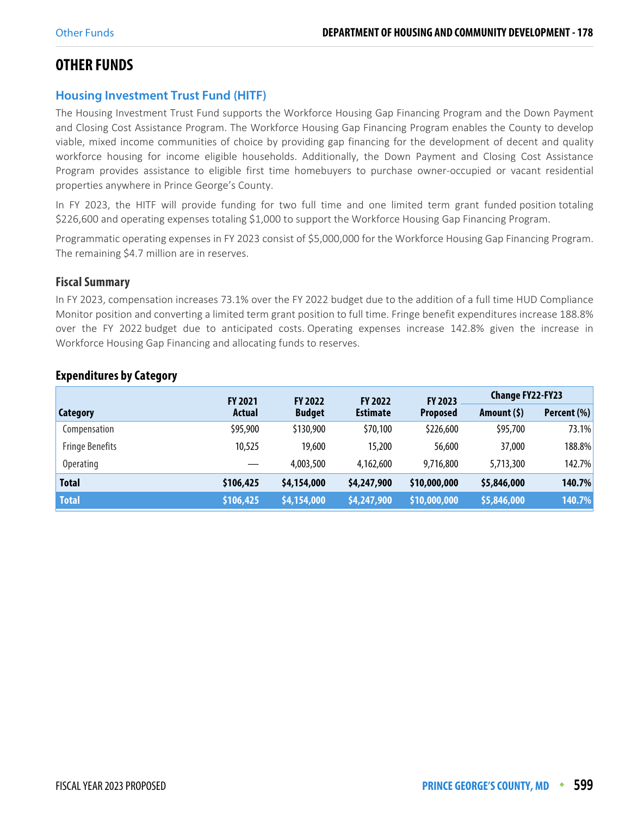# **OTHER FUNDS**

## **Housing Investment Trust Fund (HITF)**

The Housing Investment Trust Fund supports the Workforce Housing Gap Financing Program and the Down Payment and Closing Cost Assistance Program. The Workforce Housing Gap Financing Program enables the County to develop viable, mixed income communities of choice by providing gap financing for the development of decent and quality workforce housing for income eligible households. Additionally, the Down Payment and Closing Cost Assistance Program provides assistance to eligible first time homebuyers to purchase owner-occupied or vacant residential properties anywhere in Prince George's County.

In FY 2023, the HITF will provide funding for two full time and one limited term grant funded position totaling \$226,600 and operating expenses totaling \$1,000 to support the Workforce Housing Gap Financing Program.

Programmatic operating expenses in FY 2023 consist of \$5,000,000 for the Workforce Housing Gap Financing Program. The remaining \$4.7 million are in reserves.

## **Fiscal Summary**

In FY 2023, compensation increases 73.1% over the FY 2022 budget due to the addition of a full time HUD Compliance Monitor position and converting a limited term grant position to full time. Fringe benefit expenditures increase 188.8% over the FY 2022 budget due to anticipated costs. Operating expenses increase 142.8% given the increase in Workforce Housing Gap Financing and allocating funds to reserves.

|                        | <b>FY 2021</b> | <b>FY 2022</b> | <b>FY 2022</b>  | FY 2023         | <b>Change FY22-FY23</b> |             |
|------------------------|----------------|----------------|-----------------|-----------------|-------------------------|-------------|
| Category               | Actual         | <b>Budget</b>  | <b>Estimate</b> | <b>Proposed</b> | Amount $(5)$            | Percent (%) |
| Compensation           | \$95,900       | \$130,900      | \$70,100        | \$226,600       | \$95,700                | 73.1%       |
| <b>Fringe Benefits</b> | 10,525         | 19,600         | 15,200          | 56,600          | 37,000                  | 188.8%      |
| Operating              |                | 4,003,500      | 4,162,600       | 9,716,800       | 5,713,300               | 142.7%      |
| <b>Total</b>           | \$106,425      | \$4,154,000    | \$4,247,900     | \$10,000,000    | \$5,846,000             | 140.7%      |
| <b>Total</b>           | \$106,425      | \$4,154,000    | \$4,247,900     | \$10,000,000    | \$5,846,000             | 140.7%      |

## **Expenditures by Category**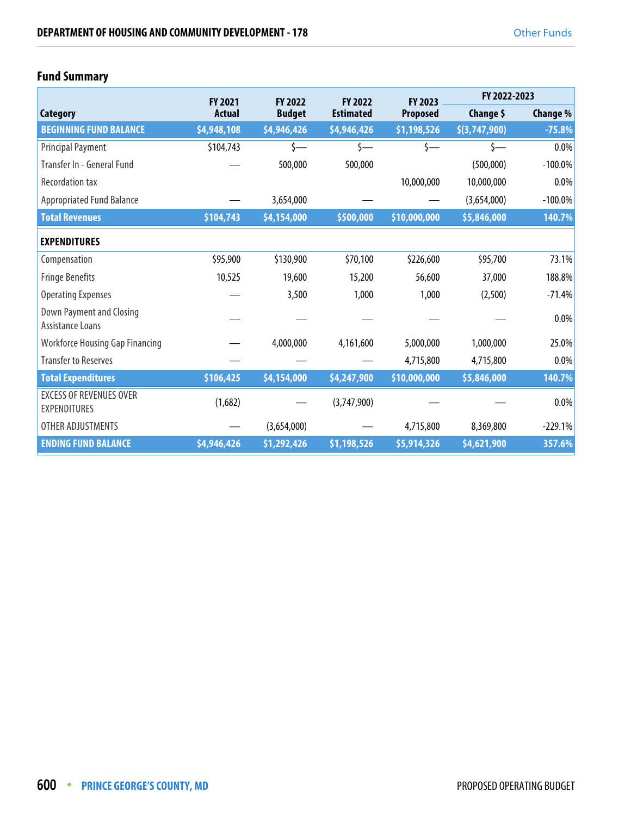## **Fund Summary**

|                                                       | <b>FY 2021</b> | <b>FY 2022</b> | <b>FY 2022</b>   | <b>FY 2023</b>  | FY 2022-2023  |            |
|-------------------------------------------------------|----------------|----------------|------------------|-----------------|---------------|------------|
| Category                                              | <b>Actual</b>  | <b>Budget</b>  | <b>Estimated</b> | <b>Proposed</b> | Change \$     | Change %   |
| <b>BEGINNING FUND BALANCE</b>                         | \$4,948,108    | \$4,946,426    | \$4,946,426      | \$1,198,526     | \$(3,747,900) | $-75.8%$   |
| <b>Principal Payment</b>                              | \$104,743      | \$—            | \$—              | \$—             | \$—           | $0.0\%$    |
| Transfer In - General Fund                            |                | 500,000        | 500,000          |                 | (500,000)     | $-100.0\%$ |
| <b>Recordation tax</b>                                |                |                |                  | 10,000,000      | 10,000,000    | $0.0\%$    |
| <b>Appropriated Fund Balance</b>                      |                | 3,654,000      |                  |                 | (3,654,000)   | $-100.0\%$ |
| <b>Total Revenues</b>                                 | \$104,743      | \$4,154,000    | \$500,000        | \$10,000,000    | \$5,846,000   | 140.7%     |
| <b>EXPENDITURES</b>                                   |                |                |                  |                 |               |            |
| Compensation                                          | \$95,900       | \$130,900      | \$70,100         | \$226,600       | \$95,700      | 73.1%      |
| <b>Fringe Benefits</b>                                | 10,525         | 19,600         | 15,200           | 56,600          | 37,000        | 188.8%     |
| <b>Operating Expenses</b>                             |                | 3,500          | 1,000            | 1,000           | (2,500)       | $-71.4%$   |
| <b>Down Payment and Closing</b><br>Assistance Loans   |                |                |                  |                 |               | 0.0%       |
| <b>Workforce Housing Gap Financing</b>                |                | 4,000,000      | 4,161,600        | 5,000,000       | 1,000,000     | 25.0%      |
| <b>Transfer to Reserves</b>                           |                |                |                  | 4,715,800       | 4,715,800     | $0.0\%$    |
| <b>Total Expenditures</b>                             | \$106,425      | \$4,154,000    | \$4,247,900      | \$10,000,000    | \$5,846,000   | 140.7%     |
| <b>EXCESS OF REVENUES OVER</b><br><b>EXPENDITURES</b> | (1,682)        |                | (3,747,900)      |                 |               | $0.0\%$    |
| OTHER ADJUSTMENTS                                     |                | (3,654,000)    |                  | 4,715,800       | 8,369,800     | $-229.1%$  |
| <b>ENDING FUND BALANCE</b>                            | \$4,946,426    | \$1,292,426    | \$1,198,526      | \$5,914,326     | \$4,621,900   | 357.6%     |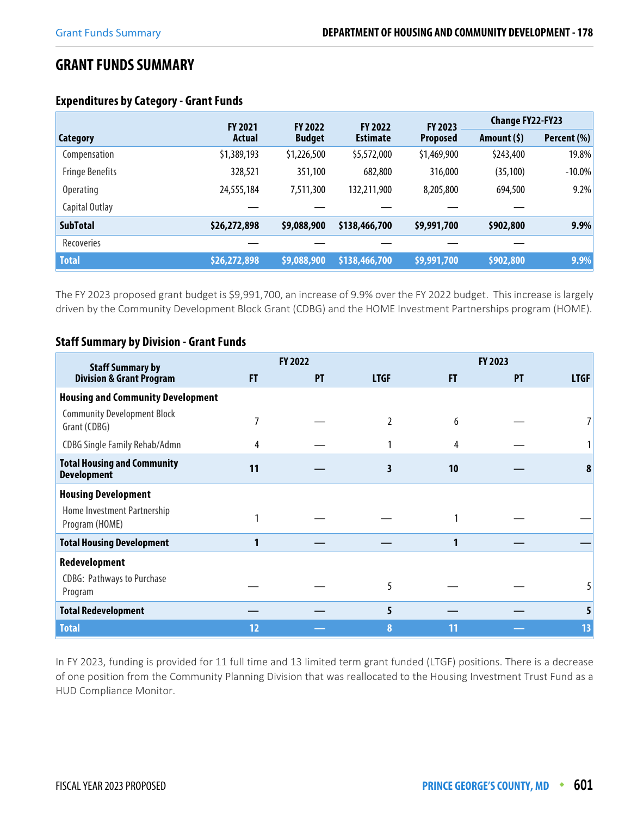## **GRANT FUNDS SUMMARY**

|                        | <b>FY 2021</b> | <b>FY 2022</b> | <b>FY 2022</b>  | FY 2023         | <b>Change FY22-FY23</b> |             |
|------------------------|----------------|----------------|-----------------|-----------------|-------------------------|-------------|
| Category               | Actual         | <b>Budget</b>  | <b>Estimate</b> | <b>Proposed</b> | Amount (\$)             | Percent (%) |
| Compensation           | \$1,389,193    | \$1,226,500    | \$5,572,000     | \$1,469,900     | \$243,400               | 19.8%       |
| <b>Fringe Benefits</b> | 328,521        | 351,100        | 682,800         | 316,000         | (35, 100)               | $-10.0\%$   |
| <b>Operating</b>       | 24,555,184     | 7,511,300      | 132,211,900     | 8,205,800       | 694,500                 | 9.2%        |
| Capital Outlay         |                |                |                 |                 |                         |             |
| <b>SubTotal</b>        | \$26,272,898   | \$9,088,900    | \$138,466,700   | \$9,991,700     | \$902,800               | 9.9%        |
| Recoveries             |                |                |                 |                 |                         |             |
| <b>Total</b>           | \$26,272,898   | \$9,088,900    | \$138,466,700   | \$9,991,700     | \$902,800               | 9.9%        |

## **Expenditures by Category - Grant Funds**

The FY 2023 proposed grant budget is \$9,991,700, an increase of 9.9% over the FY 2022 budget. This increase is largely driven by the Community Development Block Grant (CDBG) and the HOME Investment Partnerships program (HOME).

## **Staff Summary by Division - Grant Funds**

| <b>Staff Summary by</b>                                  |    | <b>FY 2022</b> |               |    | <b>FY 2023</b><br><b>FT</b><br><b>PT</b><br>6<br>4<br>10 |             |
|----------------------------------------------------------|----|----------------|---------------|----|----------------------------------------------------------|-------------|
| <b>Division &amp; Grant Program</b>                      | F  | PT             | <b>LTGF</b>   |    |                                                          | <b>LTGF</b> |
| <b>Housing and Community Development</b>                 |    |                |               |    |                                                          |             |
| <b>Community Development Block</b><br>Grant (CDBG)       |    |                | $\mathfrak z$ |    |                                                          |             |
| CDBG Single Family Rehab/Admn                            | 4  |                |               |    |                                                          |             |
| <b>Total Housing and Community</b><br><b>Development</b> | 11 |                | 3             |    |                                                          | 8           |
| <b>Housing Development</b>                               |    |                |               |    |                                                          |             |
| Home Investment Partnership<br>Program (HOME)            |    |                |               |    |                                                          |             |
| <b>Total Housing Development</b>                         |    |                |               |    |                                                          |             |
| Redevelopment                                            |    |                |               |    |                                                          |             |
| <b>CDBG: Pathways to Purchase</b><br>Program             |    |                | 5             |    |                                                          |             |
| <b>Total Redevelopment</b>                               |    |                | 5             |    |                                                          |             |
| <b>Total</b>                                             | 12 |                | 8             | 11 |                                                          | 13          |

In FY 2023, funding is provided for 11 full time and 13 limited term grant funded (LTGF) positions. There is a decrease of one position from the Community Planning Division that was reallocated to the Housing Investment Trust Fund as a HUD Compliance Monitor.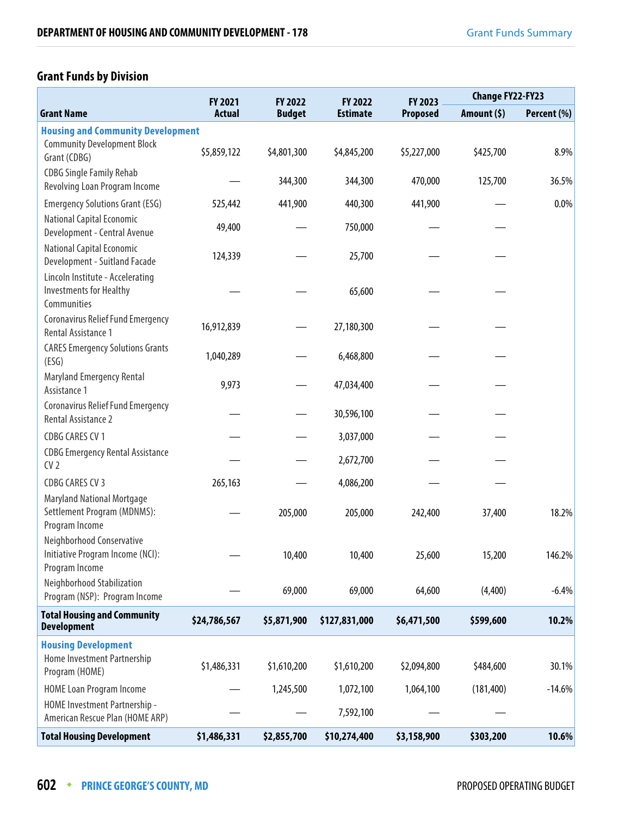## **Grant Funds by Division**

|                                                                                    | FY 2021       | <b>FY 2022</b> | FY 2022         | FY 2023         | <b>Change FY22-FY23</b> |             |  |
|------------------------------------------------------------------------------------|---------------|----------------|-----------------|-----------------|-------------------------|-------------|--|
| <b>Grant Name</b>                                                                  | <b>Actual</b> | <b>Budget</b>  | <b>Estimate</b> | <b>Proposed</b> | Amount (\$)             | Percent (%) |  |
| <b>Housing and Community Development</b>                                           |               |                |                 |                 |                         |             |  |
| <b>Community Development Block</b><br>Grant (CDBG)                                 | \$5,859,122   | \$4,801,300    | \$4,845,200     | \$5,227,000     | \$425,700               | 8.9%        |  |
| <b>CDBG Single Family Rehab</b><br>Revolving Loan Program Income                   |               | 344,300        | 344,300         | 470,000         | 125,700                 | 36.5%       |  |
| <b>Emergency Solutions Grant (ESG)</b>                                             | 525,442       | 441,900        | 440,300         | 441,900         |                         | 0.0%        |  |
| National Capital Economic<br>Development - Central Avenue                          | 49,400        |                | 750,000         |                 |                         |             |  |
| National Capital Economic<br>Development - Suitland Facade                         | 124,339       |                | 25,700          |                 |                         |             |  |
| Lincoln Institute - Accelerating<br><b>Investments for Healthy</b><br>Communities  |               |                | 65,600          |                 |                         |             |  |
| Coronavirus Relief Fund Emergency<br>Rental Assistance 1                           | 16,912,839    |                | 27,180,300      |                 |                         |             |  |
| <b>CARES Emergency Solutions Grants</b><br>(ESG)                                   | 1,040,289     |                | 6,468,800       |                 |                         |             |  |
| Maryland Emergency Rental<br>Assistance 1                                          | 9,973         |                | 47,034,400      |                 |                         |             |  |
| <b>Coronavirus Relief Fund Emergency</b><br>Rental Assistance 2                    |               |                | 30,596,100      |                 |                         |             |  |
| <b>CDBG CARES CV 1</b>                                                             |               |                | 3,037,000       |                 |                         |             |  |
| <b>CDBG Emergency Rental Assistance</b><br>CV <sub>2</sub>                         |               |                | 2,672,700       |                 |                         |             |  |
| <b>CDBG CARES CV 3</b>                                                             | 265,163       |                | 4,086,200       |                 |                         |             |  |
| <b>Maryland National Mortgage</b><br>Settlement Program (MDNMS):<br>Program Income |               | 205,000        | 205,000         | 242,400         | 37,400                  | 18.2%       |  |
| Neighborhood Conservative<br>Initiative Program Income (NCI):<br>Program Income    |               | 10,400         | 10,400          | 25,600          | 15,200                  | 146.2%      |  |
| Neighborhood Stabilization<br>Program (NSP): Program Income                        |               | 69,000         | 69,000          | 64,600          | (4,400)                 | $-6.4%$     |  |
| <b>Total Housing and Community</b><br><b>Development</b>                           | \$24,786,567  | \$5,871,900    | \$127,831,000   | \$6,471,500     | \$599,600               | 10.2%       |  |
| <b>Housing Development</b><br>Home Investment Partnership<br>Program (HOME)        | \$1,486,331   | \$1,610,200    | \$1,610,200     | \$2,094,800     | \$484,600               | 30.1%       |  |
| <b>HOME Loan Program Income</b>                                                    |               | 1,245,500      | 1,072,100       | 1,064,100       | (181, 400)              | $-14.6%$    |  |
| HOME Investment Partnership -<br>American Rescue Plan (HOME ARP)                   |               |                | 7,592,100       |                 |                         |             |  |
| <b>Total Housing Development</b>                                                   | \$1,486,331   | \$2,855,700    | \$10,274,400    | \$3,158,900     | \$303,200               | 10.6%       |  |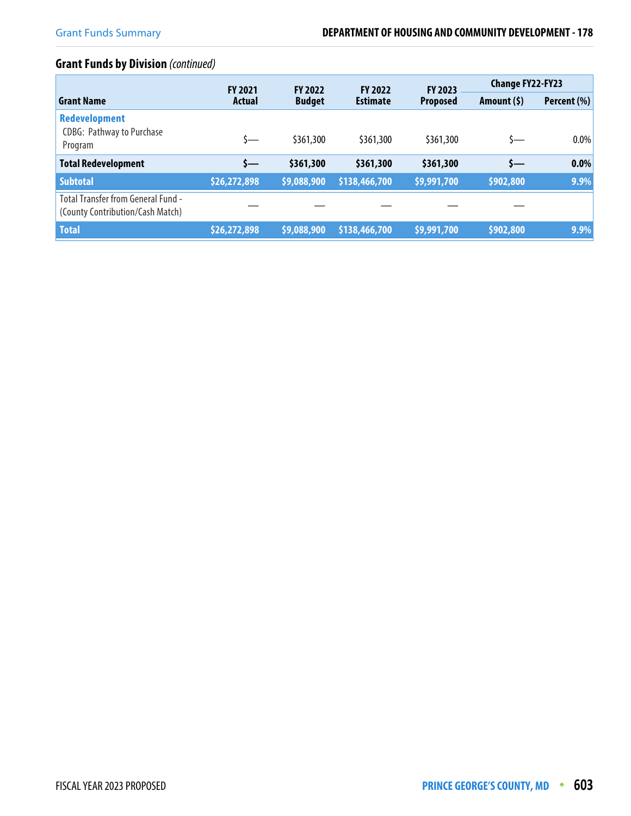## **Grant Funds by Division** (continued)

|                                                                        | <b>FY 2021</b> | <b>FY 2022</b> | <b>FY 2022</b>  | <b>FY 2023</b>  | <b>Change FY22-FY23</b> |             |
|------------------------------------------------------------------------|----------------|----------------|-----------------|-----------------|-------------------------|-------------|
| <b>Grant Name</b>                                                      | <b>Actual</b>  | <b>Budget</b>  | <b>Estimate</b> | <b>Proposed</b> | Amount $(5)$            | Percent (%) |
| <b>Redevelopment</b><br><b>CDBG: Pathway to Purchase</b><br>Program    | s—             | \$361,300      | \$361,300       | \$361,300       | s—                      | $0.0\%$     |
| <b>Total Redevelopment</b>                                             | s—             | \$361,300      | \$361,300       | \$361,300       | s—                      | 0.0%        |
| <b>Subtotal</b>                                                        | \$26,272,898   | \$9,088,900    | \$138,466,700   | \$9,991,700     | \$902,800               | 9.9%        |
| Total Transfer from General Fund -<br>(County Contribution/Cash Match) |                |                |                 |                 |                         |             |
| <b>Total</b>                                                           | \$26,272,898   | \$9,088,900    | \$138,466,700   | \$9,991,700     | \$902,800               | 9.9%        |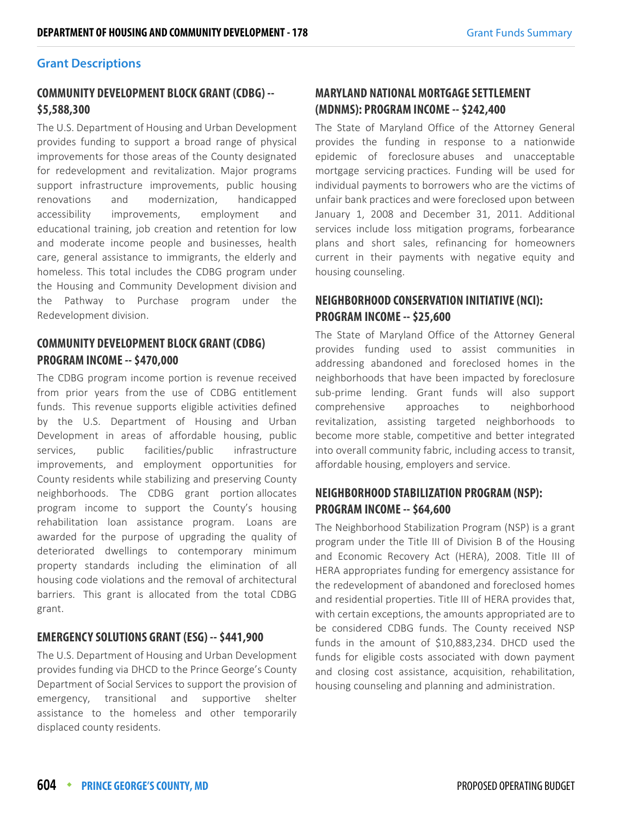## **Grant Descriptions**

## **COMMUNITY DEVELOPMENT BLOCK GRANT (CDBG) -- \$5,588,300**

The U.S. Department of Housing and Urban Development provides funding to support a broad range of physical improvements for those areas of the County designated for redevelopment and revitalization. Major programs support infrastructure improvements, public housing renovations and modernization, handicapped accessibility improvements, employment and educational training, job creation and retention for low and moderate income people and businesses, health care, general assistance to immigrants, the elderly and homeless. This total includes the CDBG program under the Housing and Community Development division and the Pathway to Purchase program under the Redevelopment division.

## **COMMUNITY DEVELOPMENT BLOCK GRANT (CDBG) PROGRAM INCOME -- \$470,000**

The CDBG program income portion is revenue received from prior years from the use of CDBG entitlement funds. This revenue supports eligible activities defined by the U.S. Department of Housing and Urban Development in areas of affordable housing, public services, public facilities/public infrastructure improvements, and employment opportunities for County residents while stabilizing and preserving County neighborhoods. The CDBG grant portion allocates program income to support the County's housing rehabilitation loan assistance program. Loans are awarded for the purpose of upgrading the quality of deteriorated dwellings to contemporary minimum property standards including the elimination of all housing code violations and the removal of architectural barriers. This grant is allocated from the total CDBG grant.

## **EMERGENCY SOLUTIONS GRANT (ESG) -- \$441,900**

The U.S. Department of Housing and Urban Development provides funding via DHCD to the Prince George's County Department of Social Services to support the provision of emergency, transitional and supportive shelter assistance to the homeless and other temporarily displaced county residents.

## **MARYLAND NATIONAL MORTGAGE SETTLEMENT (MDNMS): PROGRAM INCOME -- \$242,400**

The State of Maryland Office of the Attorney General provides the funding in response to a nationwide epidemic of foreclosure abuses and unacceptable mortgage servicing practices. Funding will be used for individual payments to borrowers who are the victims of unfair bank practices and were foreclosed upon between January 1, 2008 and December 31, 2011. Additional services include loss mitigation programs, forbearance plans and short sales, refinancing for homeowners current in their payments with negative equity and housing counseling.

## **NEIGHBORHOOD CONSERVATION INITIATIVE (NCI): PROGRAM INCOME -- \$25,600**

The State of Maryland Office of the Attorney General provides funding used to assist communities in addressing abandoned and foreclosed homes in the neighborhoods that have been impacted by foreclosure sub-prime lending. Grant funds will also support comprehensive approaches to neighborhood revitalization, assisting targeted neighborhoods to become more stable, competitive and better integrated into overall community fabric, including access to transit, affordable housing, employers and service.

## **NEIGHBORHOOD STABILIZATION PROGRAM (NSP): PROGRAM INCOME -- \$64,600**

The Neighborhood Stabilization Program (NSP) is a grant program under the Title III of Division B of the Housing and Economic Recovery Act (HERA), 2008. Title III of HERA appropriates funding for emergency assistance for the redevelopment of abandoned and foreclosed homes and residential properties. Title III of HERA provides that, with certain exceptions, the amounts appropriated are to be considered CDBG funds. The County received NSP funds in the amount of \$10,883,234. DHCD used the funds for eligible costs associated with down payment and closing cost assistance, acquisition, rehabilitation, housing counseling and planning and administration.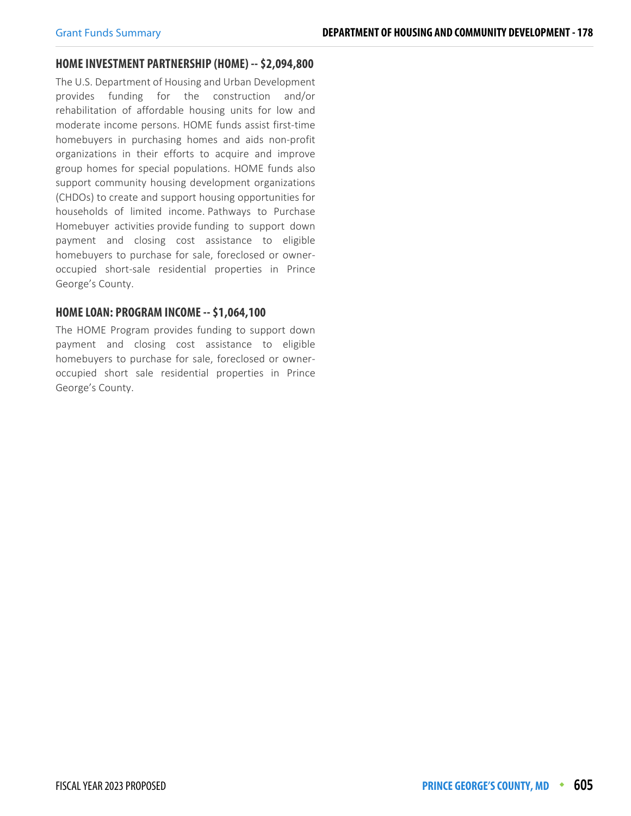#### **HOME INVESTMENT PARTNERSHIP (HOME) -- \$2,094,800**

The U.S. Department of Housing and Urban Development provides funding for the construction and/or rehabilitation of affordable housing units for low and moderate income persons. HOME funds assist first-time homebuyers in purchasing homes and aids non-profit organizations in their efforts to acquire and improve group homes for special populations. HOME funds also support community housing development organizations (CHDOs) to create and support housing opportunities for households of limited income. Pathways to Purchase Homebuyer activities provide funding to support down payment and closing cost assistance to eligible homebuyers to purchase for sale, foreclosed or owneroccupied short-sale residential properties in Prince George's County.

#### **HOME LOAN: PROGRAM INCOME -- \$1,064,100**

The HOME Program provides funding to support down payment and closing cost assistance to eligible homebuyers to purchase for sale, foreclosed or owneroccupied short sale residential properties in Prince George's County.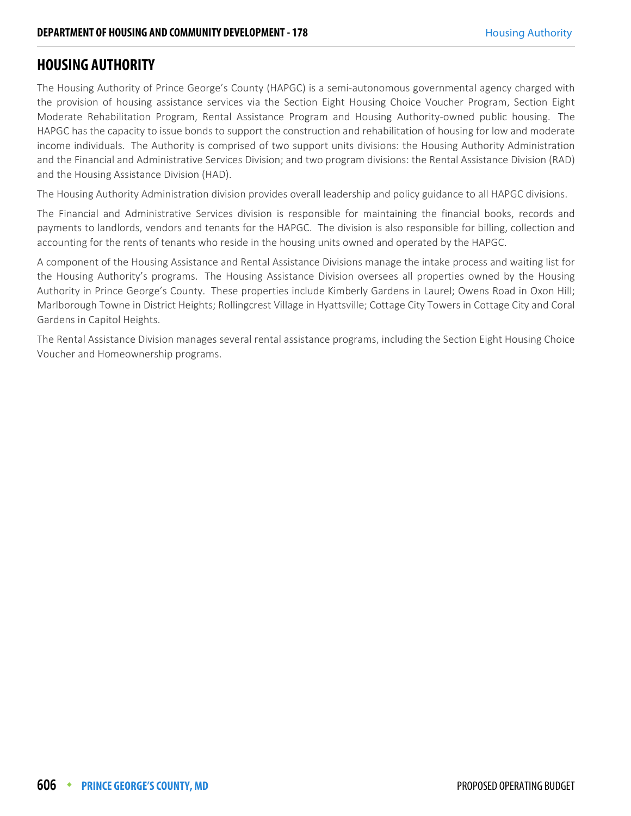## **HOUSING AUTHORITY**

The Housing Authority of Prince George's County (HAPGC) is a semi-autonomous governmental agency charged with the provision of housing assistance services via the Section Eight Housing Choice Voucher Program, Section Eight Moderate Rehabilitation Program, Rental Assistance Program and Housing Authority-owned public housing. The HAPGC has the capacity to issue bonds to support the construction and rehabilitation of housing for low and moderate income individuals. The Authority is comprised of two support units divisions: the Housing Authority Administration and the Financial and Administrative Services Division; and two program divisions: the Rental Assistance Division (RAD) and the Housing Assistance Division (HAD).

The Housing Authority Administration division provides overall leadership and policy guidance to all HAPGC divisions.

The Financial and Administrative Services division is responsible for maintaining the financial books, records and payments to landlords, vendors and tenants for the HAPGC. The division is also responsible for billing, collection and accounting for the rents of tenants who reside in the housing units owned and operated by the HAPGC.

A component of the Housing Assistance and Rental Assistance Divisions manage the intake process and waiting list for the Housing Authority's programs. The Housing Assistance Division oversees all properties owned by the Housing Authority in Prince George's County. These properties include Kimberly Gardens in Laurel; Owens Road in Oxon Hill; Marlborough Towne in District Heights; Rollingcrest Village in Hyattsville; Cottage City Towers in Cottage City and Coral Gardens in Capitol Heights.

The Rental Assistance Division manages several rental assistance programs, including the Section Eight Housing Choice Voucher and Homeownership programs.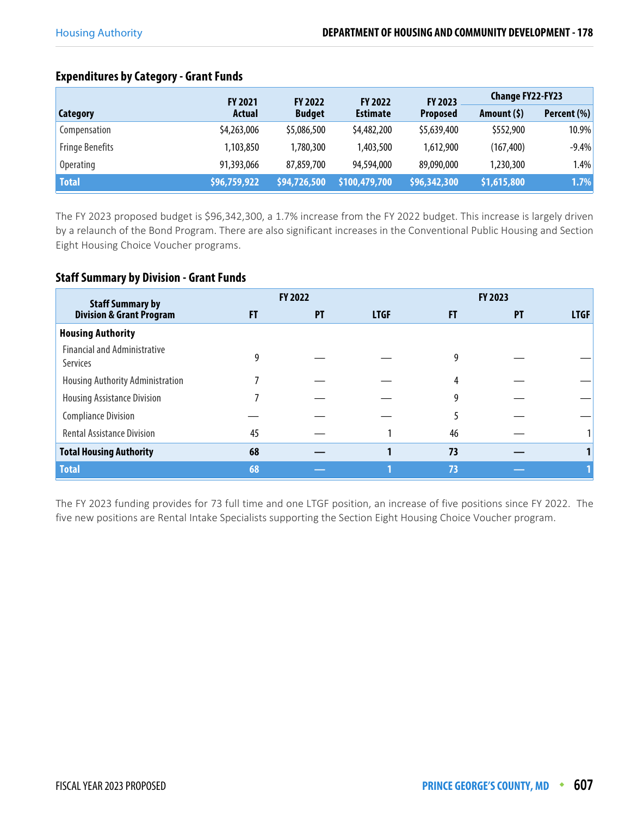|                        | <b>FY 2021</b> | <b>FY 2022</b> | <b>FY 2022</b>  | <b>FY 2023</b>  | <b>Change FY22-FY23</b> |             |
|------------------------|----------------|----------------|-----------------|-----------------|-------------------------|-------------|
| Category               | <b>Actual</b>  | <b>Budget</b>  | <b>Estimate</b> | <b>Proposed</b> | Amount $(5)$            | Percent (%) |
| Compensation           | \$4,263,006    | \$5,086,500    | \$4,482,200     | \$5,639,400     | \$552,900               | 10.9%       |
| <b>Fringe Benefits</b> | 1,103,850      | 1,780,300      | 1,403,500       | 1.612.900       | (167, 400)              | $-9.4%$     |
| Operating              | 91,393,066     | 87,859,700     | 94,594,000      | 89,090,000      | 1,230,300               | 1.4%        |
| <b>Total</b>           | \$96,759,922   | \$94,726,500   | \$100,479,700   | \$96,342,300    | \$1,615,800             | 1.7%        |

## **Expenditures by Category - Grant Funds**

The FY 2023 proposed budget is \$96,342,300, a 1.7% increase from the FY 2022 budget. This increase is largely driven by a relaunch of the Bond Program. There are also significant increases in the Conventional Public Housing and Section Eight Housing Choice Voucher programs.

## **Staff Summary by Division - Grant Funds**

| <b>Staff Summary by</b>                                |    | <b>FY 2022</b> |             |    | <b>FY 2023</b><br>FT<br><b>PT</b><br>9 |             |
|--------------------------------------------------------|----|----------------|-------------|----|----------------------------------------|-------------|
| <b>Division &amp; Grant Program</b>                    | FT | PT             | <b>LTGF</b> |    |                                        | <b>LTGF</b> |
| <b>Housing Authority</b>                               |    |                |             |    |                                        |             |
| <b>Financial and Administrative</b><br><b>Services</b> |    |                |             |    |                                        |             |
| Housing Authority Administration                       |    |                |             |    |                                        |             |
| <b>Housing Assistance Division</b>                     |    |                |             | 9  |                                        |             |
| <b>Compliance Division</b>                             |    |                |             |    |                                        |             |
| <b>Rental Assistance Division</b>                      | 45 |                |             | 46 |                                        |             |
| <b>Total Housing Authority</b>                         | 68 |                |             | 73 |                                        |             |
| <b>Total</b>                                           | 68 |                |             | 73 |                                        |             |

The FY 2023 funding provides for 73 full time and one LTGF position, an increase of five positions since FY 2022. The five new positions are Rental Intake Specialists supporting the Section Eight Housing Choice Voucher program.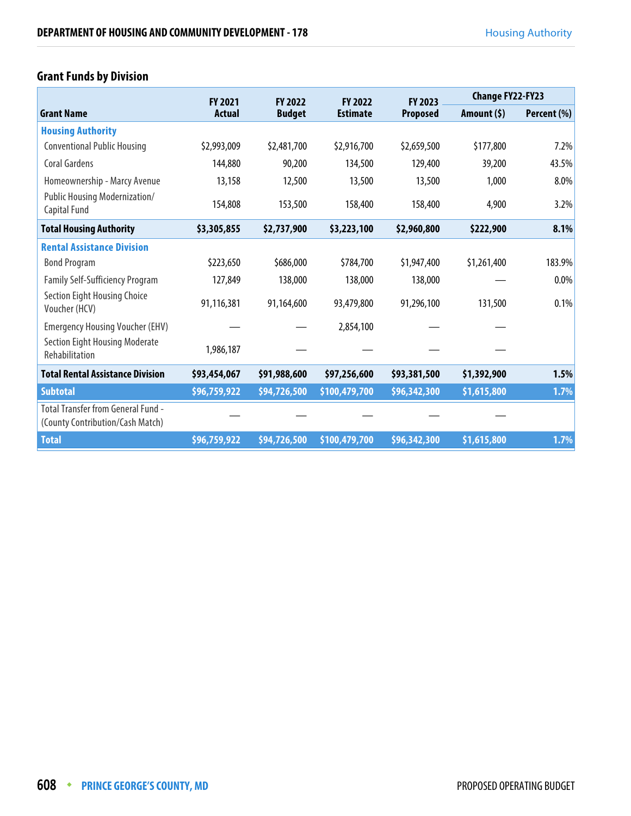|                                                                               | <b>FY 2021</b> | <b>FY 2022</b> | <b>FY 2022</b>  | <b>FY 2023</b>  | <b>Change FY22-FY23</b> |             |
|-------------------------------------------------------------------------------|----------------|----------------|-----------------|-----------------|-------------------------|-------------|
| <b>Grant Name</b>                                                             | Actual         | <b>Budget</b>  | <b>Estimate</b> | <b>Proposed</b> | Amount $(5)$            | Percent (%) |
| <b>Housing Authority</b>                                                      |                |                |                 |                 |                         |             |
| <b>Conventional Public Housing</b>                                            | \$2,993,009    | \$2,481,700    | \$2,916,700     | \$2,659,500     | \$177,800               | 7.2%        |
| <b>Coral Gardens</b>                                                          | 144,880        | 90,200         | 134,500         | 129,400         | 39,200                  | 43.5%       |
| Homeownership - Marcy Avenue                                                  | 13,158         | 12,500         | 13,500          | 13,500          | 1,000                   | 8.0%        |
| Public Housing Modernization/<br>Capital Fund                                 | 154,808        | 153,500        | 158,400         | 158,400         | 4,900                   | 3.2%        |
| <b>Total Housing Authority</b>                                                | \$3,305,855    | \$2,737,900    | \$3,223,100     | \$2,960,800     | \$222,900               | 8.1%        |
| <b>Rental Assistance Division</b>                                             |                |                |                 |                 |                         |             |
| <b>Bond Program</b>                                                           | \$223,650      | \$686,000      | \$784,700       | \$1,947,400     | \$1,261,400             | 183.9%      |
| <b>Family Self-Sufficiency Program</b>                                        | 127,849        | 138,000        | 138,000         | 138,000         |                         | 0.0%        |
| <b>Section Eight Housing Choice</b><br>Voucher (HCV)                          | 91,116,381     | 91,164,600     | 93,479,800      | 91,296,100      | 131,500                 | 0.1%        |
| <b>Emergency Housing Voucher (EHV)</b>                                        |                |                | 2,854,100       |                 |                         |             |
| <b>Section Eight Housing Moderate</b><br>Rehabilitation                       | 1,986,187      |                |                 |                 |                         |             |
| <b>Total Rental Assistance Division</b>                                       | \$93,454,067   | \$91,988,600   | \$97,256,600    | \$93,381,500    | \$1,392,900             | 1.5%        |
| <b>Subtotal</b>                                                               | \$96,759,922   | \$94,726,500   | \$100,479,700   | \$96,342,300    | \$1,615,800             | 1.7%        |
| <b>Total Transfer from General Fund -</b><br>(County Contribution/Cash Match) |                |                |                 |                 |                         |             |
| <b>Total</b>                                                                  | \$96,759,922   | \$94,726,500   | \$100,479,700   | \$96,342,300    | \$1,615,800             | 1.7%        |

## **Grant Funds by Division**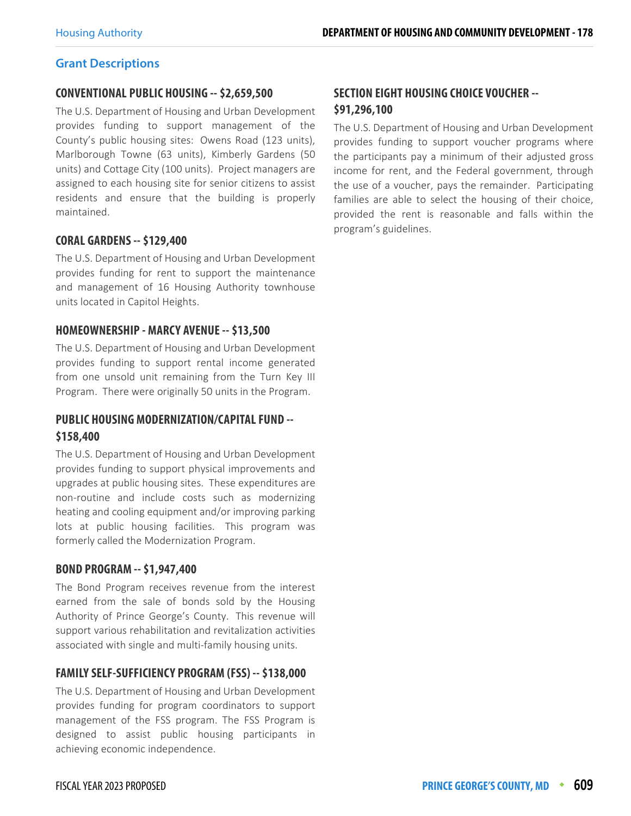## **Grant Descriptions**

#### **CONVENTIONAL PUBLIC HOUSING -- \$2,659,500**

The U.S. Department of Housing and Urban Development provides funding to support management of the County's public housing sites: Owens Road (123 units), Marlborough Towne (63 units), Kimberly Gardens (50 units) and Cottage City (100 units). Project managers are assigned to each housing site for senior citizens to assist residents and ensure that the building is properly maintained.

## **CORAL GARDENS -- \$129,400**

The U.S. Department of Housing and Urban Development provides funding for rent to support the maintenance and management of 16 Housing Authority townhouse units located in Capitol Heights.

## **HOMEOWNERSHIP - MARCY AVENUE -- \$13,500**

The U.S. Department of Housing and Urban Development provides funding to support rental income generated from one unsold unit remaining from the Turn Key III Program. There were originally 50 units in the Program.

## **PUBLIC HOUSING MODERNIZATION/CAPITAL FUND -- \$158,400**

The U.S. Department of Housing and Urban Development provides funding to support physical improvements and upgrades at public housing sites. These expenditures are non-routine and include costs such as modernizing heating and cooling equipment and/or improving parking lots at public housing facilities. This program was formerly called the Modernization Program.

## **BOND PROGRAM -- \$1,947,400**

The Bond Program receives revenue from the interest earned from the sale of bonds sold by the Housing Authority of Prince George's County. This revenue will support various rehabilitation and revitalization activities associated with single and multi-family housing units.

## **FAMILY SELF-SUFFICIENCY PROGRAM (FSS) -- \$138,000**

The U.S. Department of Housing and Urban Development provides funding for program coordinators to support management of the FSS program. The FSS Program is designed to assist public housing participants in achieving economic independence.

## **SECTION EIGHT HOUSING CHOICE VOUCHER -- \$91,296,100**

The U.S. Department of Housing and Urban Development provides funding to support voucher programs where the participants pay a minimum of their adjusted gross income for rent, and the Federal government, through the use of a voucher, pays the remainder. Participating families are able to select the housing of their choice, provided the rent is reasonable and falls within the program's guidelines.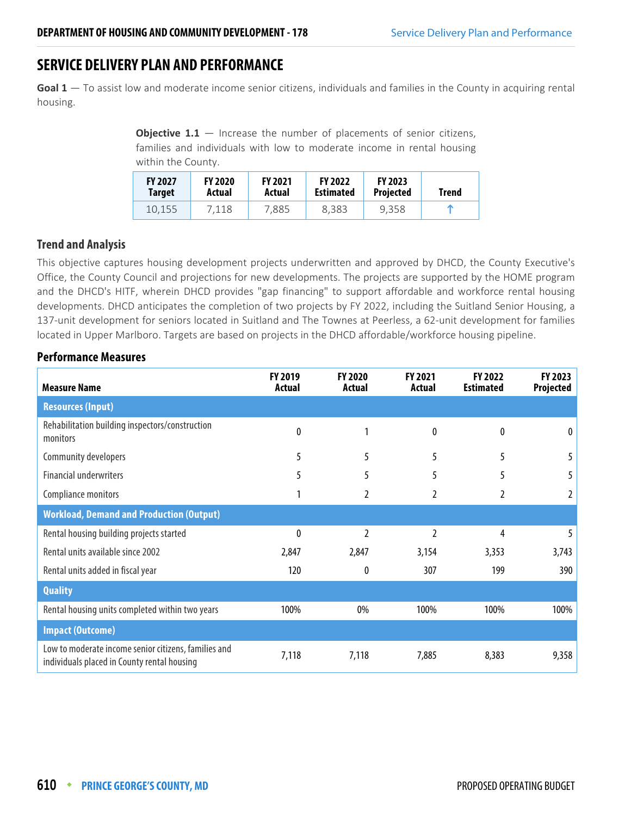## **SERVICE DELIVERY PLAN AND PERFORMANCE**

**Goal 1** — To assist low and moderate income senior citizens, individuals and families in the County in acquiring rental housing.

> **Objective 1.1** – Increase the number of placements of senior citizens, families and individuals with low to moderate income in rental housing within the County.

| <b>FY 2027</b> | <b>FY 2020</b> | <b>FY 2021</b> | <b>FY 2022</b>   | <b>FY 2023</b>   | Trend |
|----------------|----------------|----------------|------------------|------------------|-------|
| <b>Target</b>  | Actual         | Actual         | <b>Estimated</b> | <b>Projected</b> |       |
| 10.155         | 7.118          | 7.885          | 8.383            | 9.358            |       |

## **Trend and Analysis**

This objective captures housing development projects underwritten and approved by DHCD, the County Executive's Office, the County Council and projections for new developments. The projects are supported by the HOME program and the DHCD's HITF, wherein DHCD provides "gap financing" to support affordable and workforce rental housing developments. DHCD anticipates the completion of two projects by FY 2022, including the Suitland Senior Housing, a 137-unit development for seniors located in Suitland and The Townes at Peerless, a 62-unit development for families located in Upper Marlboro. Targets are based on projects in the DHCD affordable/workforce housing pipeline.

| <b>Measure Name</b>                                                                                 | FY 2019<br>Actual | <b>FY 2020</b><br>Actual | FY 2021<br>Actual | FY 2022<br><b>Estimated</b> | FY 2023<br><b>Projected</b> |
|-----------------------------------------------------------------------------------------------------|-------------------|--------------------------|-------------------|-----------------------------|-----------------------------|
| <b>Resources (Input)</b>                                                                            |                   |                          |                   |                             |                             |
| Rehabilitation building inspectors/construction<br>monitors                                         | 0                 | 1                        | 0                 | 0                           | 0                           |
| Community developers                                                                                | 5                 | 5                        | 5                 | 5                           |                             |
| <b>Financial underwriters</b>                                                                       | 5                 | 5                        | 5                 | 5                           |                             |
| Compliance monitors                                                                                 |                   |                          | 2                 | 2                           | 2                           |
| <b>Workload, Demand and Production (Output)</b>                                                     |                   |                          |                   |                             |                             |
| Rental housing building projects started                                                            | 0                 | 2                        | 2                 | 4                           |                             |
| Rental units available since 2002                                                                   | 2,847             | 2,847                    | 3,154             | 3,353                       | 3,743                       |
| Rental units added in fiscal year                                                                   | 120               | 0                        | 307               | 199                         | 390                         |
| <b>Quality</b>                                                                                      |                   |                          |                   |                             |                             |
| Rental housing units completed within two years                                                     | 100%              | 0%                       | 100%              | 100%                        | 100%                        |
| <b>Impact (Outcome)</b>                                                                             |                   |                          |                   |                             |                             |
| Low to moderate income senior citizens, families and<br>individuals placed in County rental housing | 7,118             | 7,118                    | 7,885             | 8,383                       | 9,358                       |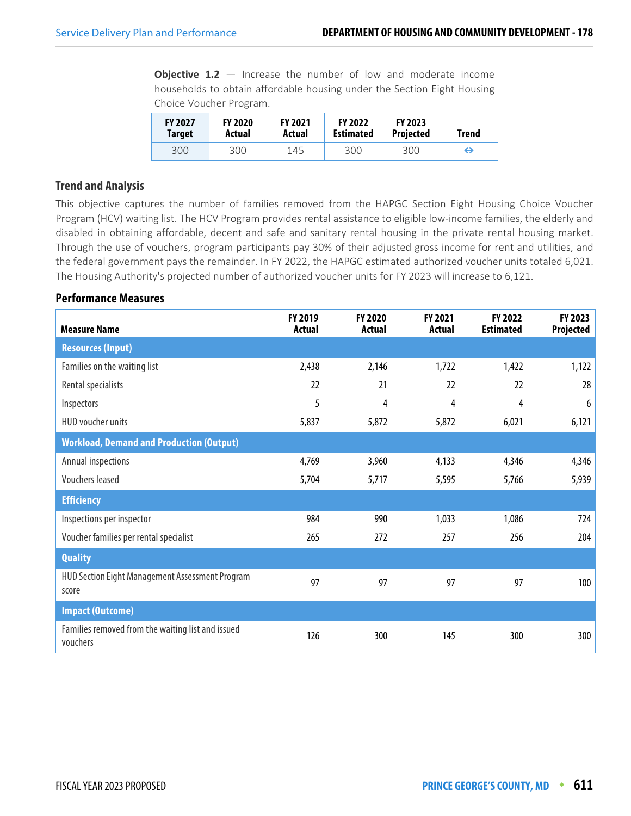**Objective 1.2** – Increase the number of low and moderate income households to obtain affordable housing under the Section Eight Housing Choice Voucher Program.

| <b>FY 2027</b> | <b>FY 2020</b> | <b>FY 2021</b> | <b>FY 2022</b>   | <b>FY 2023</b>   | <b>Trend</b> |
|----------------|----------------|----------------|------------------|------------------|--------------|
| Target         | Actual         | Actual         | <b>Estimated</b> | <b>Projected</b> |              |
| 300            | 300            | 145            | 300              | 300              | ↔            |

## **Trend and Analysis**

This objective captures the number of families removed from the HAPGC Section Eight Housing Choice Voucher Program (HCV) waiting list. The HCV Program provides rental assistance to eligible low-income families, the elderly and disabled in obtaining affordable, decent and safe and sanitary rental housing in the private rental housing market. Through the use of vouchers, program participants pay 30% of their adjusted gross income for rent and utilities, and the federal government pays the remainder. In FY 2022, the HAPGC estimated authorized voucher units totaled 6,021. The Housing Authority's projected number of authorized voucher units for FY 2023 will increase to 6,121.

| <b>Measure Name</b>                                           | FY 2019<br><b>Actual</b> | <b>FY 2020</b><br>Actual | <b>FY 2021</b><br>Actual | FY 2022<br><b>Estimated</b> | FY 2023<br><b>Projected</b> |
|---------------------------------------------------------------|--------------------------|--------------------------|--------------------------|-----------------------------|-----------------------------|
| <b>Resources (Input)</b>                                      |                          |                          |                          |                             |                             |
| Families on the waiting list                                  | 2,438                    | 2,146                    | 1,722                    | 1,422                       | 1,122                       |
| Rental specialists                                            | 22                       | 21                       | 22                       | 22                          | 28                          |
| Inspectors                                                    | 5                        | 4                        | 4                        | 4                           | 6                           |
| HUD voucher units                                             | 5,837                    | 5,872                    | 5,872                    | 6,021                       | 6,121                       |
| <b>Workload, Demand and Production (Output)</b>               |                          |                          |                          |                             |                             |
| Annual inspections                                            | 4,769                    | 3,960                    | 4,133                    | 4,346                       | 4,346                       |
| <b>Vouchers leased</b>                                        | 5,704                    | 5,717                    | 5,595                    | 5,766                       | 5,939                       |
| <b>Efficiency</b>                                             |                          |                          |                          |                             |                             |
| Inspections per inspector                                     | 984                      | 990                      | 1,033                    | 1,086                       | 724                         |
| Voucher families per rental specialist                        | 265                      | 272                      | 257                      | 256                         | 204                         |
| <b>Quality</b>                                                |                          |                          |                          |                             |                             |
| HUD Section Eight Management Assessment Program<br>score      | 97                       | 97                       | 97                       | 97                          | 100                         |
| <b>Impact (Outcome)</b>                                       |                          |                          |                          |                             |                             |
| Families removed from the waiting list and issued<br>vouchers | 126                      | 300                      | 145                      | 300                         | 300                         |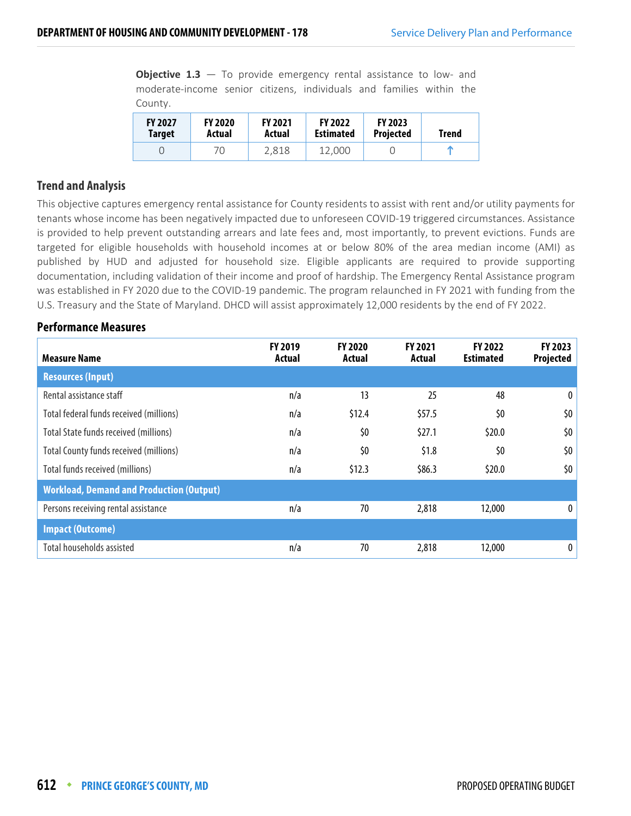**Objective 1.3** – To provide emergency rental assistance to low- and moderate-income senior citizens, individuals and families within the County.

| <b>FY 2027</b> | <b>FY 2020</b> | <b>FY 2021</b> | <b>FY 2022</b>   | <b>FY 2023</b>   | <b>Trend</b> |
|----------------|----------------|----------------|------------------|------------------|--------------|
| Target         | Actual         | Actual         | <b>Estimated</b> | <b>Projected</b> |              |
|                | 70             | 2.818          | 12.000           |                  | m            |

## **Trend and Analysis**

This objective captures emergency rental assistance for County residents to assist with rent and/or utility payments for tenants whose income has been negatively impacted due to unforeseen COVID-19 triggered circumstances. Assistance is provided to help prevent outstanding arrears and late fees and, most importantly, to prevent evictions. Funds are targeted for eligible households with household incomes at or below 80% of the area median income (AMI) as published by HUD and adjusted for household size. Eligible applicants are required to provide supporting documentation, including validation of their income and proof of hardship. The Emergency Rental Assistance program was established in FY 2020 due to the COVID-19 pandemic. The program relaunched in FY 2021 with funding from the U.S. Treasury and the State of Maryland. DHCD will assist approximately 12,000 residents by the end of FY 2022.

| <b>Measure Name</b>                             | <b>FY 2019</b><br>Actual | <b>FY 2020</b><br>Actual | <b>FY 2021</b><br>Actual | <b>FY 2022</b><br><b>Estimated</b> | FY 2023<br>Projected |
|-------------------------------------------------|--------------------------|--------------------------|--------------------------|------------------------------------|----------------------|
| <b>Resources (Input)</b>                        |                          |                          |                          |                                    |                      |
| Rental assistance staff                         | n/a                      | 13                       | 25                       | 48                                 | $\mathbf{0}$         |
| Total federal funds received (millions)         | n/a                      | \$12.4                   | \$57.5                   | \$0                                | \$0                  |
| <b>Total State funds received (millions)</b>    | n/a                      | \$0                      | \$27.1                   | \$20.0                             | \$0                  |
| <b>Total County funds received (millions)</b>   | n/a                      | \$0                      | \$1.8                    | \$0                                | \$0                  |
| Total funds received (millions)                 | n/a                      | \$12.3                   | \$86.3                   | \$20.0                             | \$0 <sub>2</sub>     |
| <b>Workload, Demand and Production (Output)</b> |                          |                          |                          |                                    |                      |
| Persons receiving rental assistance             | n/a                      | 70                       | 2,818                    | 12,000                             | $\bf{0}$             |
| <b>Impact (Outcome)</b>                         |                          |                          |                          |                                    |                      |
| Total households assisted                       | n/a                      | 70                       | 2,818                    | 12,000                             | $\mathbf 0$          |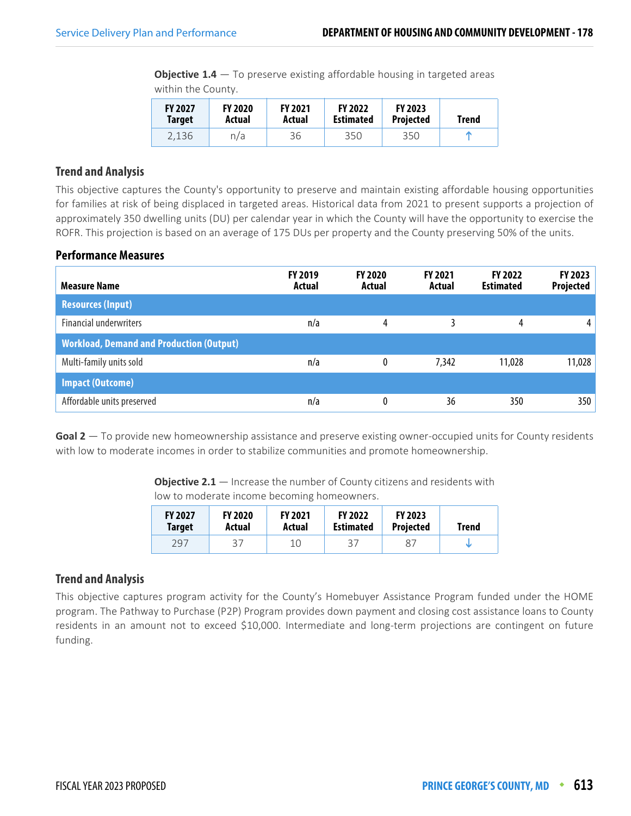**Objective 1.4** – To preserve existing affordable housing in targeted areas within the County.

| <b>FY 2027</b> | <b>FY 2020</b> | <b>FY 2021</b> | <b>FY 2022</b>   | <b>FY 2023</b>   | Trend |
|----------------|----------------|----------------|------------------|------------------|-------|
| <b>Target</b>  | Actual         | Actual         | <b>Estimated</b> | <b>Projected</b> |       |
| 2.136          | n/a            | 36             | 350              | 350              | m     |

## **Trend and Analysis**

This objective captures the County's opportunity to preserve and maintain existing affordable housing opportunities for families at risk of being displaced in targeted areas. Historical data from 2021 to present supports a projection of approximately 350 dwelling units (DU) per calendar year in which the County will have the opportunity to exercise the ROFR. This projection is based on an average of 175 DUs per property and the County preserving 50% of the units.

#### **Performance Measures**

| <b>Measure Name</b>                             | <b>FY 2019</b><br>Actual | <b>FY 2020</b><br>Actual | <b>FY 2021</b><br>Actual | <b>FY 2022</b><br><b>Estimated</b> | FY 2023<br>Projected |
|-------------------------------------------------|--------------------------|--------------------------|--------------------------|------------------------------------|----------------------|
| <b>Resources (Input)</b>                        |                          |                          |                          |                                    |                      |
| <b>Financial underwriters</b>                   | n/a                      | 4                        |                          | 4                                  | 4                    |
| <b>Workload, Demand and Production (Output)</b> |                          |                          |                          |                                    |                      |
| Multi-family units sold                         | n/a                      | 0                        | 7,342                    | 11,028                             | 11,028               |
| <b>Impact (Outcome)</b>                         |                          |                          |                          |                                    |                      |
| Affordable units preserved                      | n/a                      |                          | 36                       | 350                                | 350                  |

**Goal 2** — To provide new homeownership assistance and preserve existing owner-occupied units for County residents with low to moderate incomes in order to stabilize communities and promote homeownership.

> **Objective 2.1** — Increase the number of County citizens and residents with low to moderate income becoming homeowners.

| <b>FY 2027</b> | <b>FY 2020</b> | <b>FY 2021</b> | <b>FY 2022</b>   | <b>FY 2023</b>   | <b>Trend</b> |
|----------------|----------------|----------------|------------------|------------------|--------------|
| <b>Target</b>  | Actual         | Actual         | <b>Estimated</b> | <b>Projected</b> |              |
| 297            | 37             |                | 37               | 87               |              |

## **Trend and Analysis**

This objective captures program activity for the County's Homebuyer Assistance Program funded under the HOME program. The Pathway to Purchase (P2P) Program provides down payment and closing cost assistance loans to County residents in an amount not to exceed \$10,000. Intermediate and long-term projections are contingent on future funding.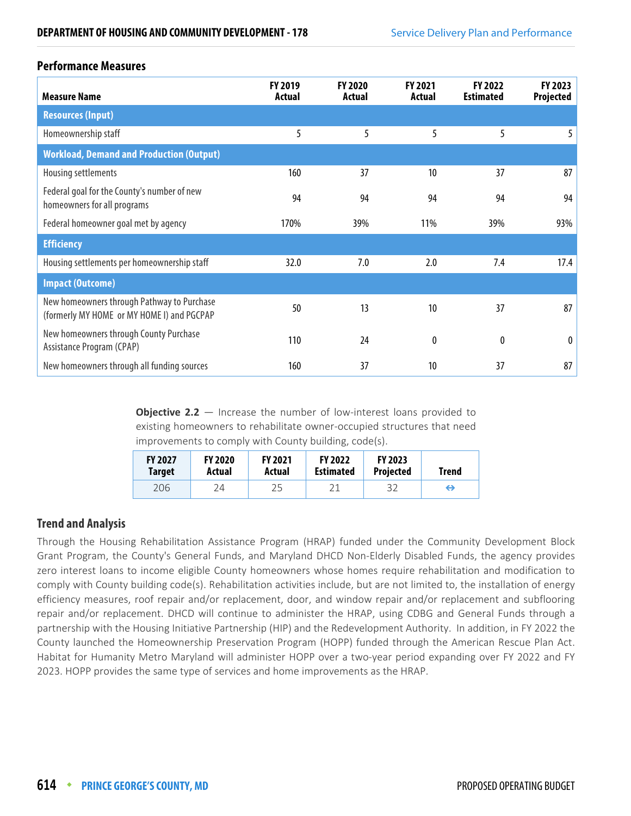#### **Performance Measures**

| <b>Measure Name</b>                                                                      | FY 2019<br>Actual | <b>FY 2020</b><br>Actual | <b>FY 2021</b><br>Actual | FY 2022<br><b>Estimated</b> | <b>FY 2023</b><br>Projected |
|------------------------------------------------------------------------------------------|-------------------|--------------------------|--------------------------|-----------------------------|-----------------------------|
| <b>Resources (Input)</b>                                                                 |                   |                          |                          |                             |                             |
| Homeownership staff                                                                      | 5                 | 5                        | 5                        | 5                           | 5                           |
| <b>Workload, Demand and Production (Output)</b>                                          |                   |                          |                          |                             |                             |
| Housing settlements                                                                      | 160               | 37                       | 10                       | 37                          | 87                          |
| Federal goal for the County's number of new<br>homeowners for all programs               | 94                | 94                       | 94                       | 94                          | 94                          |
| Federal homeowner goal met by agency                                                     | 170%              | 39%                      | 11%                      | 39%                         | 93%                         |
| <b>Efficiency</b>                                                                        |                   |                          |                          |                             |                             |
| Housing settlements per homeownership staff                                              | 32.0              | 7.0                      | 2.0                      | 7.4                         | 17.4                        |
| <b>Impact (Outcome)</b>                                                                  |                   |                          |                          |                             |                             |
| New homeowners through Pathway to Purchase<br>(formerly MY HOME or MY HOME I) and PGCPAP | 50                | 13                       | 10                       | 37                          | 87                          |
| New homeowners through County Purchase<br>Assistance Program (CPAP)                      | 110               | 24                       | 0                        | 0                           | $\mathbf{0}$                |
| New homeowners through all funding sources                                               | 160               | 37                       | 10                       | 37                          | 87                          |

**Objective 2.2** – Increase the number of low-interest loans provided to existing homeowners to rehabilitate owner-occupied structures that need improvements to comply with County building, code(s).

| <b>FY 2027</b> | <b>FY 2020</b> | <b>FY 2021</b> | <b>FY 2022</b>   | <b>FY 2023</b>   | Trend |
|----------------|----------------|----------------|------------------|------------------|-------|
| <b>Target</b>  | Actual         | Actual         | <b>Estimated</b> | <b>Projected</b> |       |
| 206            | 24             | 25             |                  | 32               | ⇔     |

## **Trend and Analysis**

Through the Housing Rehabilitation Assistance Program (HRAP) funded under the Community Development Block Grant Program, the County's General Funds, and Maryland DHCD Non-Elderly Disabled Funds, the agency provides zero interest loans to income eligible County homeowners whose homes require rehabilitation and modification to comply with County building code(s). Rehabilitation activities include, but are not limited to, the installation of energy efficiency measures, roof repair and/or replacement, door, and window repair and/or replacement and subflooring repair and/or replacement. DHCD will continue to administer the HRAP, using CDBG and General Funds through a partnership with the Housing Initiative Partnership (HIP) and the Redevelopment Authority. In addition, in FY 2022 the County launched the Homeownership Preservation Program (HOPP) funded through the American Rescue Plan Act. Habitat for Humanity Metro Maryland will administer HOPP over a two-year period expanding over FY 2022 and FY 2023. HOPP provides the same type of services and home improvements as the HRAP.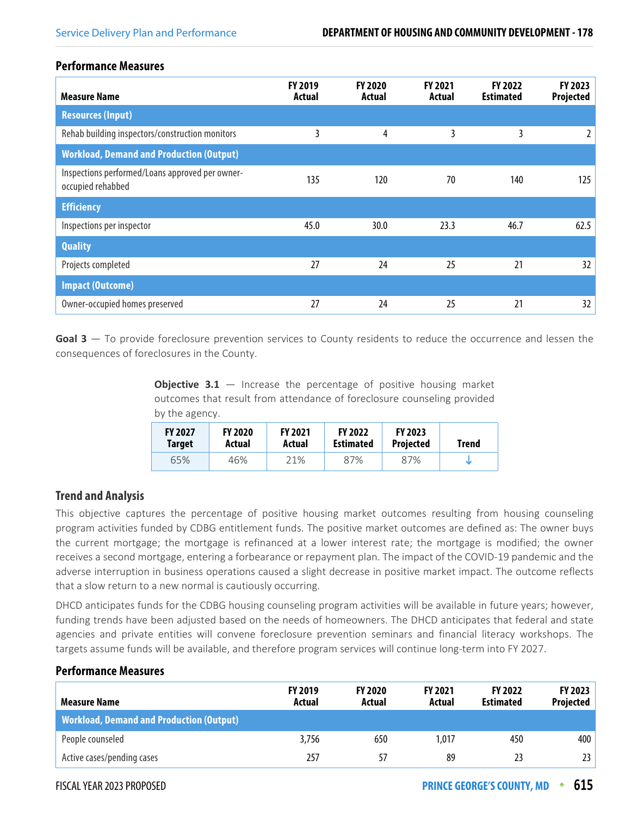#### **Performance Measures**

| <b>Measure Name</b>                                                  | FY 2019<br>Actual | <b>FY 2020</b><br>Actual | <b>FY 2021</b><br>Actual | FY 2022<br><b>Estimated</b> | FY 2023<br>Projected |
|----------------------------------------------------------------------|-------------------|--------------------------|--------------------------|-----------------------------|----------------------|
| <b>Resources (Input)</b>                                             |                   |                          |                          |                             |                      |
| Rehab building inspectors/construction monitors                      | 3                 | 4                        | 3                        | 3                           | 2                    |
| <b>Workload, Demand and Production (Output)</b>                      |                   |                          |                          |                             |                      |
| Inspections performed/Loans approved per owner-<br>occupied rehabbed | 135               | 120                      | 70                       | 140                         | 125                  |
| <b>Efficiency</b>                                                    |                   |                          |                          |                             |                      |
| Inspections per inspector                                            | 45.0              | 30.0                     | 23.3                     | 46.7                        | 62.5                 |
| <b>Quality</b>                                                       |                   |                          |                          |                             |                      |
| Projects completed                                                   | 27                | 24                       | 25                       | 21                          | 32                   |
| <b>Impact (Outcome)</b>                                              |                   |                          |                          |                             |                      |
| Owner-occupied homes preserved                                       | 27                | 24                       | 25                       | 21                          | 32                   |

**Goal 3** — To provide foreclosure prevention services to County residents to reduce the occurrence and lessen the consequences of foreclosures in the County.

> **Objective 3.1** – Increase the percentage of positive housing market outcomes that result from attendance of foreclosure counseling provided by the agency.

| <b>FY 2027</b> | <b>FY 2020</b> | <b>FY 2021</b> | <b>FY 2022</b>   | <b>FY 2023</b>   | <b>Trend</b> |
|----------------|----------------|----------------|------------------|------------------|--------------|
| Target         | Actual         | Actual         | <b>Estimated</b> | <b>Projected</b> |              |
| 65%            | 46%            | 21%            | 87%              | 87%              |              |

## **Trend and Analysis**

This objective captures the percentage of positive housing market outcomes resulting from housing counseling program activities funded by CDBG entitlement funds. The positive market outcomes are defined as: The owner buys the current mortgage; the mortgage is refinanced at a lower interest rate; the mortgage is modified; the owner receives a second mortgage, entering a forbearance or repayment plan. The impact of the COVID-19 pandemic and the adverse interruption in business operations caused a slight decrease in positive market impact. The outcome reflects that a slow return to a new normal is cautiously occurring.

DHCD anticipates funds for the CDBG housing counseling program activities will be available in future years; however, funding trends have been adjusted based on the needs of homeowners. The DHCD anticipates that federal and state agencies and private entities will convene foreclosure prevention seminars and financial literacy workshops. The targets assume funds will be available, and therefore program services will continue long-term into FY 2027.

| <b>Measure Name</b>                             | <b>FY 2019</b><br>Actual | <b>FY 2020</b><br>Actual | <b>FY 2021</b><br>Actual | <b>FY 2022</b><br><b>Estimated</b> | <b>FY 2023</b><br>Projected |
|-------------------------------------------------|--------------------------|--------------------------|--------------------------|------------------------------------|-----------------------------|
| <b>Workload, Demand and Production (Output)</b> |                          |                          |                          |                                    |                             |
| People counseled                                | 3,756                    | 650                      | 1.017                    | 450                                | 400                         |
| Active cases/pending cases                      | 257                      | 57                       | 89                       | 23                                 | 23                          |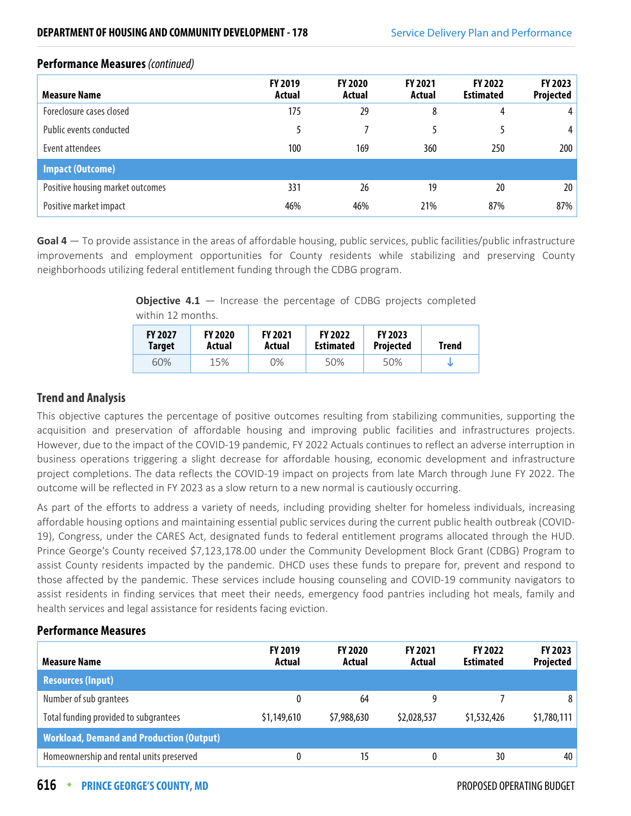| <b>Measure Name</b>              | <b>FY 2019</b><br>Actual | <b>FY 2020</b><br>Actual | <b>FY 2021</b><br>Actual | <b>FY 2022</b><br><b>Estimated</b> | <b>FY 2023</b><br><b>Projected</b> |
|----------------------------------|--------------------------|--------------------------|--------------------------|------------------------------------|------------------------------------|
| Foreclosure cases closed         | 175                      | 29                       | 8                        | 4                                  | 4                                  |
| Public events conducted          |                          |                          |                          |                                    | 4 <sup>1</sup>                     |
| Event attendees                  | 100                      | 169                      | 360                      | 250                                | 200                                |
| <b>Impact (Outcome)</b>          |                          |                          |                          |                                    |                                    |
| Positive housing market outcomes | 331                      | 26                       | 19                       | 20                                 | 20 <sup>1</sup>                    |
| Positive market impact           | 46%                      | 46%                      | 21%                      | 87%                                | 87%                                |

## **Performance Measures** (continued)

**Goal 4** — To provide assistance in the areas of affordable housing, public services, public facilities/public infrastructure improvements and employment opportunities for County residents while stabilizing and preserving County neighborhoods utilizing federal entitlement funding through the CDBG program.

> **Objective 4.1** – Increase the percentage of CDBG projects completed within 12 months.

| <b>FY 2027</b> | <b>FY 2020</b> | <b>FY 2021</b> | <b>FY 2022</b>   | <b>FY 2023</b>   | Trend |
|----------------|----------------|----------------|------------------|------------------|-------|
| <b>Target</b>  | Actual         | Actual         | <b>Estimated</b> | <b>Projected</b> |       |
| 60%            | 15%            | 0%             | 50%              | 50%              |       |

## **Trend and Analysis**

This objective captures the percentage of positive outcomes resulting from stabilizing communities, supporting the acquisition and preservation of affordable housing and improving public facilities and infrastructures projects. However, due to the impact of the COVID-19 pandemic, FY 2022 Actuals continues to reflect an adverse interruption in business operations triggering a slight decrease for affordable housing, economic development and infrastructure project completions. The data reflects the COVID-19 impact on projects from late March through June FY 2022. The outcome will be reflected in FY 2023 as a slow return to a new normal is cautiously occurring.

As part of the efforts to address a variety of needs, including providing shelter for homeless individuals, increasing affordable housing options and maintaining essential public services during the current public health outbreak (COVID-19), Congress, under the CARES Act, designated funds to federal entitlement programs allocated through the HUD. Prince George's County received \$7,123,178.00 under the Community Development Block Grant (CDBG) Program to assist County residents impacted by the pandemic. DHCD uses these funds to prepare for, prevent and respond to those affected by the pandemic. These services include housing counseling and COVID-19 community navigators to assist residents in finding services that meet their needs, emergency food pantries including hot meals, family and health services and legal assistance for residents facing eviction.

| <b>Measure Name</b>                             | <b>FY 2019</b><br>Actual | <b>FY 2020</b><br>Actual | <b>FY 2021</b><br>Actual | <b>FY 2022</b><br><b>Estimated</b> | FY 2023<br><b>Projected</b> |
|-------------------------------------------------|--------------------------|--------------------------|--------------------------|------------------------------------|-----------------------------|
| <b>Resources (Input)</b>                        |                          |                          |                          |                                    |                             |
| Number of sub grantees                          | 0                        | 64                       | q                        |                                    | 8                           |
| Total funding provided to subgrantees           | \$1,149,610              | \$7,988,630              | \$2,028,537              | \$1,532,426                        | \$1,780,111                 |
| <b>Workload, Demand and Production (Output)</b> |                          |                          |                          |                                    |                             |
| Homeownership and rental units preserved        | 0                        | 15                       |                          | 30                                 | 40                          |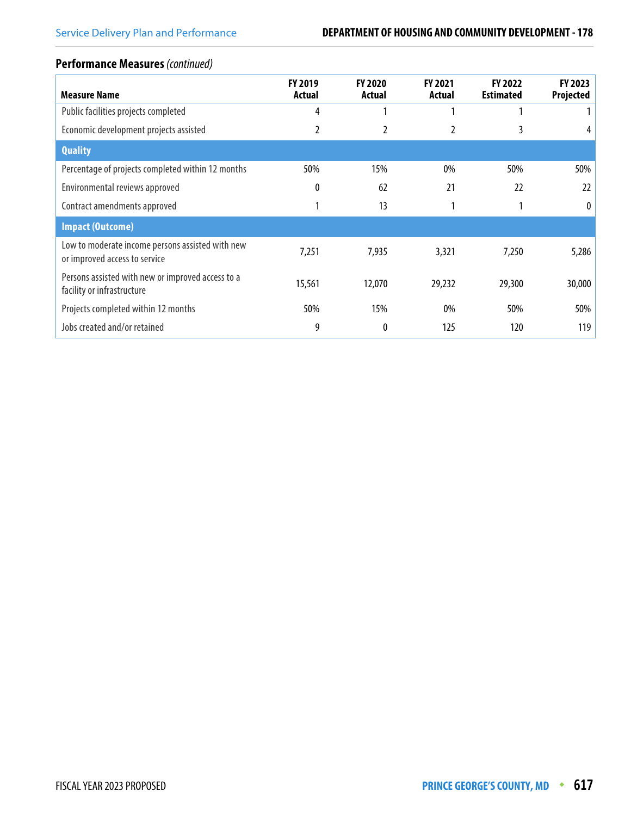## **Performance Measures** (continued)

| <b>Measure Name</b>                                                               | <b>FY 2019</b><br>Actual | <b>FY 2020</b><br>Actual | <b>FY 2021</b><br>Actual | <b>FY 2022</b><br><b>Estimated</b> | <b>FY 2023</b><br>Projected |
|-----------------------------------------------------------------------------------|--------------------------|--------------------------|--------------------------|------------------------------------|-----------------------------|
| Public facilities projects completed                                              | 4                        |                          |                          |                                    |                             |
| Economic development projects assisted                                            | 2                        | 2                        |                          | 3                                  |                             |
| <b>Quality</b>                                                                    |                          |                          |                          |                                    |                             |
| Percentage of projects completed within 12 months                                 | 50%                      | 15%                      | $0\%$                    | 50%                                | 50%                         |
| Environmental reviews approved                                                    | 0                        | 62                       | 21                       | 22                                 | 22                          |
| Contract amendments approved                                                      |                          | 13                       |                          |                                    | $\theta$                    |
| <b>Impact (Outcome)</b>                                                           |                          |                          |                          |                                    |                             |
| Low to moderate income persons assisted with new<br>or improved access to service | 7,251                    | 7,935                    | 3,321                    | 7,250                              | 5,286                       |
| Persons assisted with new or improved access to a<br>facility or infrastructure   | 15,561                   | 12,070                   | 29,232                   | 29,300                             | 30,000                      |
| Projects completed within 12 months                                               | 50%                      | 15%                      | 0%                       | 50%                                | 50%                         |
| Jobs created and/or retained                                                      | 9                        | 0                        | 125                      | 120                                | 119                         |